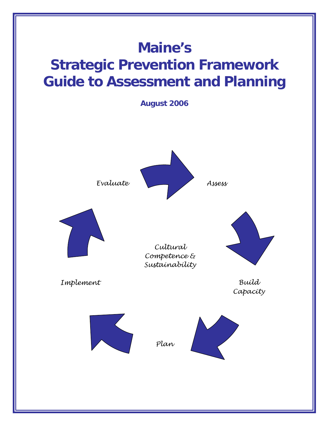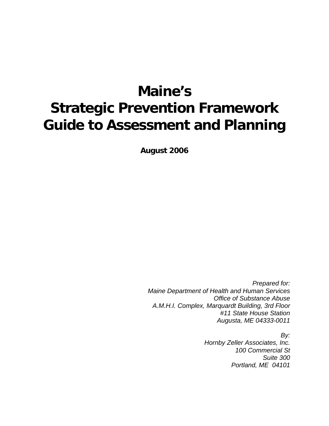# **Maine's Strategic Prevention Framework Guide to Assessment and Planning**

**August 2006** 

*Prepared for: Maine Department of Health and Human Services Office of Substance Abuse A.M.H.I. Complex, Marquardt Building, 3rd Floor #11 State House Station Augusta, ME 04333-0011* 

> *By: Hornby Zeller Associates, Inc. 100 Commercial St Suite 300 Portland, ME 04101*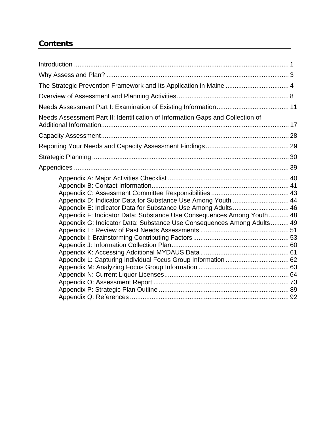# **Contents**

| The Strategic Prevention Framework and Its Application in Maine  4                                                                                                                                                                                                               |  |
|----------------------------------------------------------------------------------------------------------------------------------------------------------------------------------------------------------------------------------------------------------------------------------|--|
|                                                                                                                                                                                                                                                                                  |  |
|                                                                                                                                                                                                                                                                                  |  |
| Needs Assessment Part II: Identification of Information Gaps and Collection of                                                                                                                                                                                                   |  |
|                                                                                                                                                                                                                                                                                  |  |
|                                                                                                                                                                                                                                                                                  |  |
|                                                                                                                                                                                                                                                                                  |  |
|                                                                                                                                                                                                                                                                                  |  |
| Appendix D: Indicator Data for Substance Use Among Youth  44<br>Appendix E: Indicator Data for Substance Use Among Adults 46<br>Appendix F: Indicator Data: Substance Use Consequences Among Youth  48<br>Appendix G: Indicator Data: Substance Use Consequences Among Adults 49 |  |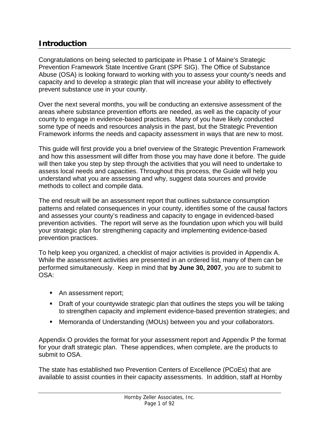# **Introduction**

Congratulations on being selected to participate in Phase 1 of Maine's Strategic Prevention Framework State Incentive Grant (SPF SIG). The Office of Substance Abuse (OSA) is looking forward to working with you to assess your county's needs and capacity and to develop a strategic plan that will increase your ability to effectively prevent substance use in your county.

Over the next several months, you will be conducting an extensive assessment of the areas where substance prevention efforts are needed, as well as the capacity of your county to engage in evidence-based practices. Many of you have likely conducted some type of needs and resources analysis in the past, but the Strategic Prevention Framework informs the needs and capacity assessment in ways that are new to most.

This guide will first provide you a brief overview of the Strategic Prevention Framework and how this assessment will differ from those you may have done it before. The guide will then take you step by step through the activities that you will need to undertake to assess local needs and capacities. Throughout this process, the Guide will help you understand what you are assessing and why, suggest data sources and provide methods to collect and compile data.

The end result will be an assessment report that outlines substance consumption patterns and related consequences in your county, identifies some of the causal factors and assesses your county's readiness and capacity to engage in evidenced-based prevention activities. The report will serve as the foundation upon which you will build your strategic plan for strengthening capacity and implementing evidence-based prevention practices.

To help keep you organized, a checklist of major activities is provided in Appendix A. While the assessment activities are presented in an ordered list, many of them can be performed simultaneously. Keep in mind that **by June 30, 2007**, you are to submit to OSA:

- An assessment report;
- Draft of your countywide strategic plan that outlines the steps you will be taking to strengthen capacity and implement evidence-based prevention strategies; and
- Memoranda of Understanding (MOUs) between you and your collaborators.

Appendix O provides the format for your assessment report and Appendix P the format for your draft strategic plan. These appendices, when complete, are the products to submit to OSA.

The state has established two Prevention Centers of Excellence (PCoEs) that are available to assist counties in their capacity assessments. In addition, staff at Hornby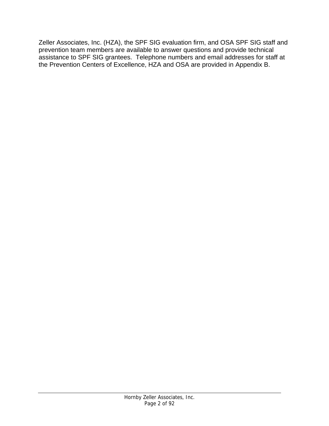Zeller Associates, Inc. (HZA), the SPF SIG evaluation firm, and OSA SPF SIG staff and prevention team members are available to answer questions and provide technical assistance to SPF SIG grantees. Telephone numbers and email addresses for staff at the Prevention Centers of Excellence, HZA and OSA are provided in Appendix B.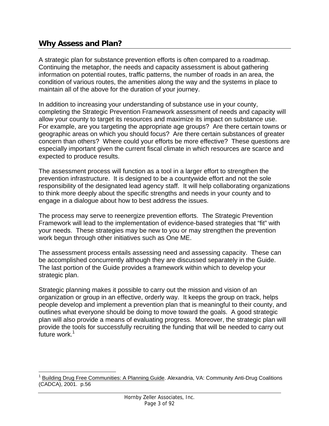# **Why Assess and Plan?**

 $\overline{a}$ 

A strategic plan for substance prevention efforts is often compared to a roadmap. Continuing the metaphor, the needs and capacity assessment is about gathering information on potential routes, traffic patterns, the number of roads in an area, the condition of various routes, the amenities along the way and the systems in place to maintain all of the above for the duration of your journey.

In addition to increasing your understanding of substance use in your county, completing the Strategic Prevention Framework assessment of needs and capacity will allow your county to target its resources and maximize its impact on substance use. For example, are you targeting the appropriate age groups? Are there certain towns or geographic areas on which you should focus? Are there certain substances of greater concern than others? Where could your efforts be more effective? These questions are especially important given the current fiscal climate in which resources are scarce and expected to produce results.

The assessment process will function as a tool in a larger effort to strengthen the prevention infrastructure. It is designed to be a countywide effort and not the sole responsibility of the designated lead agency staff. It will help collaborating organizations to think more deeply about the specific strengths and needs in your county and to engage in a dialogue about how to best address the issues.

The process may serve to reenergize prevention efforts. The Strategic Prevention Framework will lead to the implementation of evidence-based strategies that "fit" with your needs. These strategies may be new to you or may strengthen the prevention work begun through other initiatives such as One ME.

The assessment process entails assessing need and assessing capacity. These can be accomplished concurrently although they are discussed separately in the Guide. The last portion of the Guide provides a framework within which to develop your strategic plan.

Strategic planning makes it possible to carry out the mission and vision of an organization or group in an effective, orderly way. It keeps the group on track, helps people develop and implement a prevention plan that is meaningful to their county, and outlines what everyone should be doing to move toward the goals. A good strategic plan will also provide a means of evaluating progress. Moreover, the strategic plan will provide the tools for successfully recruiting the funding that will be needed to carry out .<br>future work.<sup>1</sup>

<sup>1</sup> Building Drug Free Communities: A Planning Guide. Alexandria, VA: Community Anti-Drug Coalitions (CADCA), 2001. p.56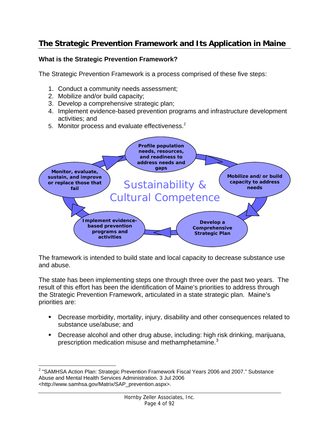# **The Strategic Prevention Framework and Its Application in Maine**

#### **What is the Strategic Prevention Framework?**

The Strategic Prevention Framework is a process comprised of these five steps:

- 1. Conduct a community needs assessment;
- 2. Mobilize and/or build capacity;
- 3. Develop a comprehensive strategic plan;
- 4. Implement evidence-based prevention programs and infrastructure development activities; and
- 5. Monitor process and evaluate effectiveness.<sup>2</sup>



The framework is intended to build state and local capacity to decrease substance use and abuse.

The state has been implementing steps one through three over the past two years. The result of this effort has been the identification of Maine's priorities to address through the Strategic Prevention Framework, articulated in a state strategic plan. Maine's priorities are:

- Decrease morbidity, mortality, injury, disability and other consequences related to substance use/abuse; and
- Decrease alcohol and other drug abuse, including: high risk drinking, marijuana, prescription medication misuse and methamphetamine.<sup>3</sup>

 $\overline{a}$ <sup>2</sup> "SAMHSA Action Plan: Strategic Prevention Framework Fiscal Years 2006 and 2007." Substance Abuse and Mental Health Services Administration. 3 Jul 2006 <http://www.samhsa.gov/Matrix/SAP\_prevention.aspx>.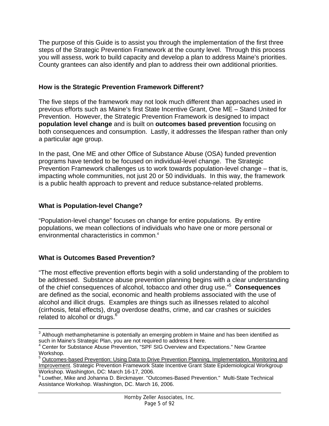The purpose of this Guide is to assist you through the implementation of the first three steps of the Strategic Prevention Framework at the county level. Through this process you will assess, work to build capacity and develop a plan to address Maine's priorities. County grantees can also identify and plan to address their own additional priorities.

#### **How is the Strategic Prevention Framework Different?**

The five steps of the framework may not look much different than approaches used in previous efforts such as Maine's first State Incentive Grant, One ME – Stand United for Prevention. However, the Strategic Prevention Framework is designed to impact **population level change** and is built on **outcomes based prevention** focusing on both consequences and consumption. Lastly, it addresses the lifespan rather than only a particular age group.

In the past, One ME and other Office of Substance Abuse (OSA) funded prevention programs have tended to be focused on individual-level change. The Strategic Prevention Framework challenges us to work towards population-level change – that is, impacting whole communities, not just 20 or 50 individuals. In this way, the framework is a public health approach to prevent and reduce substance-related problems.

## **What is Population-level Change?**

"Population-level change" focuses on change for entire populations. By entire populations, we mean collections of individuals who have one or more personal or environmental characteristics in common. 4

## **What is Outcomes Based Prevention?**

"The most effective prevention efforts begin with a solid understanding of the problem to be addressed. Substance abuse prevention planning begins with a clear understanding of the chief consequences of alcohol, tobacco and other drug use."5 **Consequences** are defined as the social, economic and health problems associated with the use of alcohol and illicit drugs. Examples are things such as illnesses related to alcohol (cirrhosis, fetal effects), drug overdose deaths, crime, and car crashes or suicides related to alcohol or drugs. $<sup>6</sup>$ </sup>

3 Although methamphetamine is potentially an emerging problem in Maine and has been identified as such in Maine's Strategic Plan, you are not required to address it here.

Center for Substance Abuse Prevention, "SPF SIG Overview and Expectations." New Grantee Workshop.

<sup>&</sup>lt;sup>5</sup> Outcomes-based Prevention: Using Data to Drive Prevention Planning, Implementation, Monitoring and Improvement. Strategic Prevention Framework State Incentive Grant State Epidemiological Workgroup Workshop. Washington, DC: March 16-17, 2006.

<sup>6</sup> Lowther, Mike and Johanna D. Birckmayer. "Outcomes-Based Prevention." Multi-State Technical Assistance Workshop. Washington, DC. March 16, 2006.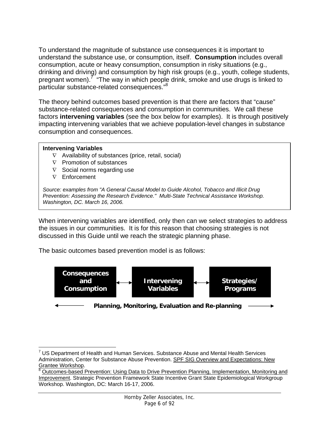To understand the magnitude of substance use consequences it is important to understand the substance use, or consumption, itself. **Consumption** includes overall consumption, acute or heavy consumption, consumption in risky situations (e.g., drinking and driving) and consumption by high risk groups (e.g., youth, college students, pregnant women).<sup>7 "</sup>The way in which people drink, smoke and use drugs is linked to particular substance-related consequences."<sup>8</sup>

The theory behind outcomes based prevention is that there are factors that "cause" substance-related consequences and consumption in communities. We call these factors **intervening variables** (see the box below for examples). It is through positively impacting intervening variables that we achieve population-level changes in substance consumption and consequences.

#### **Intervening Variables**

- ∇ Availability of substances (price, retail, social)
- ∇ Promotion of substances
- $\nabla$  Social norms regarding use
- ∇ Enforcement

*Source: examples from "A General Causal Model to Guide Alcohol, Tobacco and Illicit Drug Prevention: Assessing the Research Evidence." Multi-State Technical Assistance Workshop. Washington, DC. March 16, 2006.* 

When intervening variables are identified, only then can we select strategies to address the issues in our communities. It is for this reason that choosing strategies is not discussed in this Guide until we reach the strategic planning phase.

The basic outcomes based prevention model is as follows:



 $\overline{a}$  $<sup>7</sup>$  US Department of Health and Human Services. Substance Abuse and Mental Health Services</sup> Administration, Center for Substance Abuse Prevention. SPF SIG Overview and Expectations: New Grantee Workshop. 8

Outcomes-based Prevention: Using Data to Drive Prevention Planning, Implementation, Monitoring and Improvement. Strategic Prevention Framework State Incentive Grant State Epidemiological Workgroup Workshop. Washington, DC: March 16-17, 2006.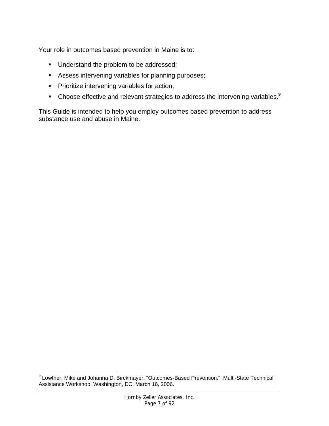Your role in outcomes based prevention in Maine is to:

- Understand the problem to be addressed;
- Assess intervening variables for planning purposes;
- **Prioritize intervening variables for action;**
- $\blacksquare$  Choose effective and relevant strategies to address the intervening variables.<sup>9</sup>

This Guide is intended to help you employ outcomes based prevention to address substance use and abuse in Maine.

\_\_\_\_\_\_\_\_\_\_\_\_\_\_\_\_\_\_\_\_\_\_\_\_\_\_\_\_\_\_\_\_\_\_\_<br><sup>9</sup> Lowther, Mike and Johanna D. Birckmayer. "Outcomes-Based Prevention." Multi-State Technical Assistance Workshop. Washington, DC. March 16, 2006.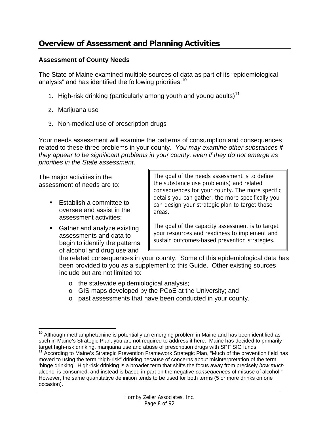# **Overview of Assessment and Planning Activities**

#### **Assessment of County Needs**

The State of Maine examined multiple sources of data as part of its "epidemiological analysis" and has identified the following priorities:<sup>10</sup>

- 1. High-risk drinking (particularly among youth and young adults)<sup>11</sup>
- 2. Marijuana use
- 3. Non-medical use of prescription drugs

Your needs assessment will examine the patterns of consumption and consequences related to these three problems in your county. *You may examine other substances if they appear to be significant problems in your county, even if they do not emerge as priorities in the State assessment*.

The major activities in the assessment of needs are to:

- Establish a committee to oversee and assist in the assessment activities;
- Gather and analyze existing assessments and data to begin to identify the patterns of alcohol and drug use and

The goal of the needs assessment is to define the substance use problem(s) and related consequences for your county. The more specific details you can gather, the more specifically you can design your strategic plan to target those areas.

The goal of the capacity assessment is to target your resources and readiness to implement and sustain outcomes-based prevention strategies.

the related consequences in your county. Some of this epidemiological data has been provided to you as a supplement to this Guide. Other existing sources include but are not limited to:

- o the statewide epidemiological analysis;
- o GIS maps developed by the PCoE at the University; and
- o past assessments that have been conducted in your county.

 $\overline{a}$  $10$  Although methamphetamine is potentially an emerging problem in Maine and has been identified as such in Maine's Strategic Plan, you are not required to address it here. Maine has decided to primarily target high-risk drinking, marijuana use and abuse of prescription drugs with SPF SIG funds.

<sup>&</sup>lt;sup>11</sup> According to Maine's Strategic Prevention Framework Strategic Plan, "Much of the prevention field has moved to using the term "high-risk" drinking because of concerns about misinterpretation of the term 'binge drinking'. High-risk drinking is a broader term that shifts the focus away from precisely *how much* alcohol is consumed, and instead is based in part on the negative *consequences* of misuse of alcohol." However, the same quantitative definition tends to be used for both terms (5 or more drinks on one occasion).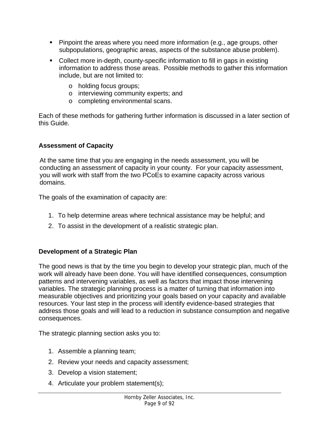- Pinpoint the areas where you need more information (e.g., age groups, other subpopulations, geographic areas, aspects of the substance abuse problem).
- Collect more in-depth, county-specific information to fill in gaps in existing information to address those areas. Possible methods to gather this information include, but are not limited to:
	- o holding focus groups;
	- o interviewing community experts; and
	- o completing environmental scans.

Each of these methods for gathering further information is discussed in a later section of this Guide.

#### **Assessment of Capacity**

At the same time that you are engaging in the needs assessment, you will be conducting an assessment of capacity in your county. For your capacity assessment, you will work with staff from the two PCoEs to examine capacity across various domains.

The goals of the examination of capacity are:

- 1. To help determine areas where technical assistance may be helpful; and
- 2. To assist in the development of a realistic strategic plan.

#### **Development of a Strategic Plan**

The good news is that by the time you begin to develop your strategic plan, much of the work will already have been done. You will have identified consequences, consumption patterns and intervening variables, as well as factors that impact those intervening variables. The strategic planning process is a matter of turning that information into measurable objectives and prioritizing your goals based on your capacity and available resources. Your last step in the process will identify evidence-based strategies that address those goals and will lead to a reduction in substance consumption and negative consequences.

The strategic planning section asks you to:

- 1. Assemble a planning team;
- 2. Review your needs and capacity assessment;
- 3. Develop a vision statement;
- 4. Articulate your problem statement(s);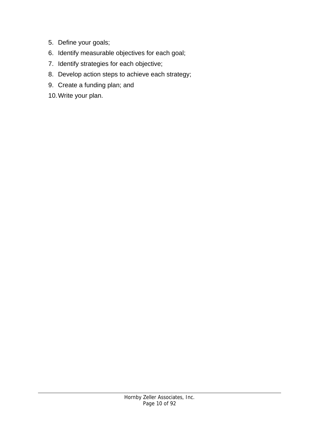- 5. Define your goals;
- 6. Identify measurable objectives for each goal;
- 7. Identify strategies for each objective;
- 8. Develop action steps to achieve each strategy;
- 9. Create a funding plan; and
- 10. Write your plan.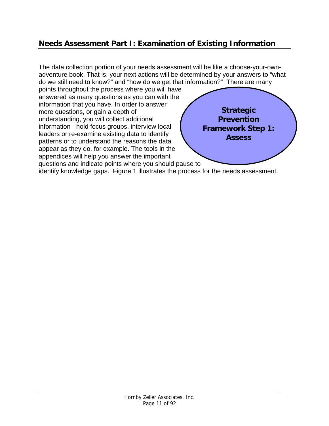# **Needs Assessment Part I: Examination of Existing Information**

**Strategic Prevention Framework Step 1: Assess**  The data collection portion of your needs assessment will be like a choose-your-ownadventure book. That is, your next actions will be determined by your answers to "what do we still need to know?" and "how do we get that information?" There are many points throughout the process where you will have answered as many questions as you can with the information that you have. In order to answer more questions, or gain a depth of understanding, you will collect additional information - hold focus groups, interview local leaders or re-examine existing data to identify patterns or to understand the reasons the data appear as they do, for example. The tools in the appendices will help you answer the important questions and indicate points where you should pause to

identify knowledge gaps. Figure 1 illustrates the process for the needs assessment.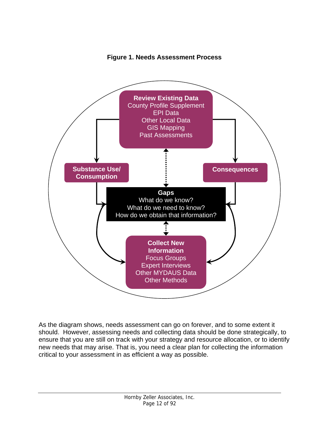

**Figure 1. Needs Assessment Process** 

As the diagram shows, needs assessment can go on forever, and to some extent it should. However, assessing needs and collecting data should be done strategically, to ensure that you are still on track with your strategy and resource allocation, or to identify new needs that may arise. That is, you need a clear plan for collecting the information critical to your assessment in as efficient a way as possible.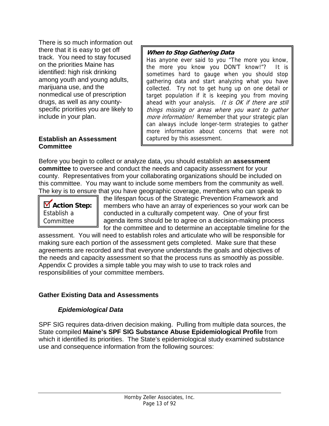There is so much information out there that it is easy to get off track. You need to stay focused on the priorities Maine has identified: high risk drinking among youth and young adults, marijuana use, and the nonmedical use of prescription drugs, as well as any countyspecific priorities you are likely to include in your plan.

#### **Establish an Assessment Committee**

#### **When to Stop Gathering Data**

Has anyone ever said to you "The more you know, the more you know you DON'T know!"? It is sometimes hard to gauge when you should stop gathering data and start analyzing what you have collected. Try not to get hung up on one detail or target population if it is keeping you from moving ahead with your analysis. It is OK if there are still things missing or areas where you want to gather more information! Remember that your strategic plan can always include longer-term strategies to gather more information about concerns that were not captured by this assessment.

Before you begin to collect or analyze data, you should establish an **assessment committee** to oversee and conduct the needs and capacity assessment for your county. Representatives from your collaborating organizations should be included on this committee. You may want to include some members from the community as well. The key is to ensure that you have geographic coverage, members who can speak to

**Action Step:**  Establish a Committee

the lifespan focus of the Strategic Prevention Framework and members who have an array of experiences so your work can be conducted in a culturally competent way. One of your first agenda items should be to agree on a decision-making process for the committee and to determine an acceptable timeline for the

assessment. You will need to establish roles and articulate who will be responsible for making sure each portion of the assessment gets completed. Make sure that these agreements are recorded and that everyone understands the goals and objectives of the needs and capacity assessment so that the process runs as smoothly as possible. Appendix C provides a simple table you may wish to use to track roles and responsibilities of your committee members.

# **Gather Existing Data and Assessments**

## *Epidemiological Data*

SPF SIG requires data-driven decision making. Pulling from multiple data sources, the State compiled **Maine's SPF SIG Substance Abuse Epidemiological Profile** from which it identified its priorities. The State's epidemiological study examined substance use and consequence information from the following sources: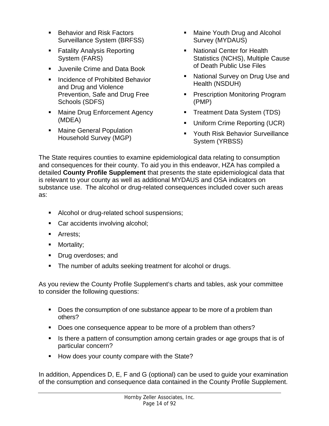- Behavior and Risk Factors Surveillance System (BRFSS)
- **Fatality Analysis Reporting** System (FARS)
- **Juvenile Crime and Data Book**
- **Incidence of Prohibited Behavior** and Drug and Violence Prevention, Safe and Drug Free Schools (SDFS)
- **Maine Drug Enforcement Agency** (MDEA)
- **Maine General Population** Household Survey (MGP)
- **Maine Youth Drug and Alcohol** Survey (MYDAUS)
- National Center for Health Statistics (NCHS), Multiple Cause of Death Public Use Files
- **National Survey on Drug Use and I** Health (NSDUH)
- **Prescription Monitoring Program** (PMP)
- **Treatment Data System (TDS)**
- **Uniform Crime Reporting (UCR)**
- **Youth Risk Behavior Surveillance** System (YRBSS)

The State requires counties to examine epidemiological data relating to consumption and consequences for their county. To aid you in this endeavor, HZA has compiled a detailed **County Profile Supplement** that presents the state epidemiological data that is relevant to your county as well as additional MYDAUS and OSA indicators on substance use. The alcohol or drug-related consequences included cover such areas as:

- Alcohol or drug-related school suspensions;
- Car accidents involving alcohol;
- **Arrests:**
- Mortality;
- **Drug overdoses; and**
- The number of adults seeking treatment for alcohol or drugs.

As you review the County Profile Supplement's charts and tables, ask your committee to consider the following questions:

- Does the consumption of one substance appear to be more of a problem than others?
- Does one consequence appear to be more of a problem than others?
- Is there a pattern of consumption among certain grades or age groups that is of particular concern?
- How does your county compare with the State?

In addition, Appendices D, E, F and G (optional) can be used to guide your examination of the consumption and consequence data contained in the County Profile Supplement.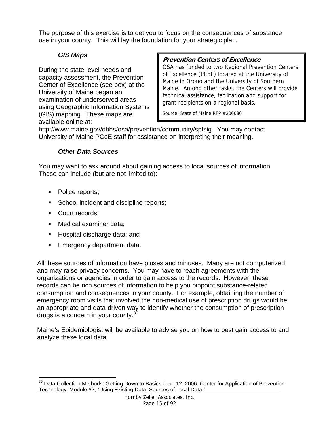The purpose of this exercise is to get you to focus on the consequences of substance use in your county. This will lay the foundation for your strategic plan.

## *GIS Maps*

During the state-level needs and capacity assessment, the Prevention Center of Excellence (see box) at the University of Maine began an examination of underserved areas using Geographic Information Systems (GIS) mapping. These maps are available online at:

### **Prevention Centers of Excellence**

OSA has funded to two Regional Prevention Centers of Excellence (PCoE) located at the University of Maine in Orono and the University of Southern Maine. Among other tasks, the Centers will provide technical assistance, facilitation and support for grant recipients on a regional basis.

Source: State of Maine RFP #206080

http://www.maine.gov/dhhs/osa/prevention/community/spfsig. You may contact University of Maine PCoE staff for assistance on interpreting their meaning.

#### *Other Data Sources*

You may want to ask around about gaining access to local sources of information. These can include (but are not limited to):

- Police reports;
- School incident and discipline reports;
- **Court records;**
- **Medical examiner data;**
- **Hospital discharge data; and**
- **Emergency department data.**

All these sources of information have pluses and minuses. Many are not computerized and may raise privacy concerns. You may have to reach agreements with the organizations or agencies in order to gain access to the records. However, these records can be rich sources of information to help you pinpoint substance-related consumption and consequences in your county. For example, obtaining the number of emergency room visits that involved the non-medical use of prescription drugs would be an appropriate and data-driven way to identify whether the consumption of prescription drugs is a concern in your county. $30$ 

Maine's Epidemiologist will be available to advise you on how to best gain access to and analyze these local data.

<sup>&</sup>lt;u>.</u> <sup>30</sup> Data Collection Methods: Getting Down to Basics June 12, 2006. Center for Application of Prevention Technology. Module #2, "Using Existing Data: Sources of Local Data."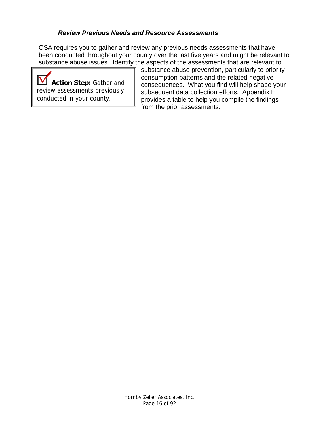#### *Review Previous Needs and Resource Assessments*

OSA requires you to gather and review any previous needs assessments that have been conducted throughout your county over the last five years and might be relevant to substance abuse issues. Identify the aspects of the assessments that are relevant to

 $\boldsymbol{\mathsf{V}}$ **Action Step:** Gather and review assessments previously conducted in your county.

substance abuse prevention, particularly to priority consumption patterns and the related negative consequences. What you find will help shape your subsequent data collection efforts. Appendix H provides a table to help you compile the findings from the prior assessments.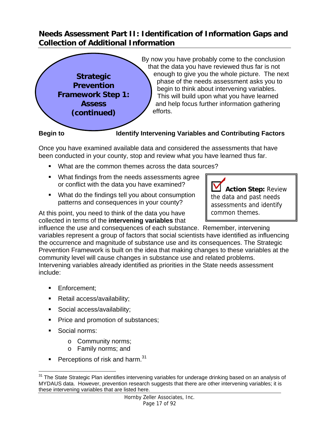# **Needs Assessment Part II: Identification of Information Gaps and Collection of Additional Information**



Once you have examined available data and considered the assessments that have been conducted in your county, stop and review what you have learned thus far.

- What are the common themes across the data sources?
- What findings from the needs assessments agree or conflict with the data you have examined?
- **What do the findings tell you about consumption** patterns and consequences in your county?

At this point, you need to think of the data you have collected in terms of the **intervening variables** that

influence the use and consequences of each substance. Remember, intervening variables represent a group of factors that social scientists have identified as influencing the occurrence and magnitude of substance use and its consequences. The Strategic Prevention Framework is built on the idea that making changes to these variables at the community level will cause changes in substance use and related problems. Intervening variables already identified as priorities in the State needs assessment include:

- **Enforcement:**
- Retail access/availability;
- Social access/availability;
- **Price and promotion of substances;**
- Social norms:
	- o Community norms;
	- o Family norms; and
- Perceptions of risk and harm.<sup>31</sup>

**Action Step:** Review the data and past needs assessments and identify common themes.

 $\overline{a}$ <sup>31</sup> The State Strategic Plan identifies intervening variables for underage drinking based on an analysis of MYDAUS data. However, prevention research suggests that there are other intervening variables; it is these intervening variables that are listed here.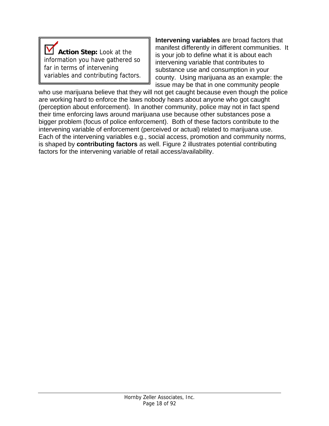

**Intervening variables** are broad factors that manifest differently in different communities. It is your job to define what it is about each intervening variable that contributes to substance use and consumption in your county. Using marijuana as an example: the issue may be that in one community people

who use marijuana believe that they will not get caught because even though the police are working hard to enforce the laws nobody hears about anyone who got caught (perception about enforcement). In another community, police may not in fact spend their time enforcing laws around marijuana use because other substances pose a bigger problem (focus of police enforcement). Both of these factors contribute to the intervening variable of enforcement (perceived or actual) related to marijuana use. Each of the intervening variables e.g., social access, promotion and community norms, is shaped by **contributing factors** as well. Figure 2 illustrates potential contributing factors for the intervening variable of retail access/availability.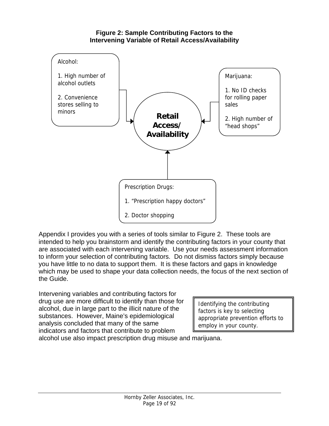#### **Figure 2: Sample Contributing Factors to the Intervening Variable of Retail Access/Availability**



Appendix I provides you with a series of tools similar to Figure 2. These tools are intended to help you brainstorm and identify the contributing factors in your county that are associated with each intervening variable. Use your needs assessment information to inform your selection of contributing factors. Do not dismiss factors simply because you have little to no data to support them. It is these factors and gaps in knowledge which may be used to shape your data collection needs, the focus of the next section of the Guide.

Intervening variables and contributing factors for drug use are more difficult to identify than those for alcohol, due in large part to the illicit nature of the substances. However, Maine's epidemiological analysis concluded that many of the same indicators and factors that contribute to problem

Identifying the contributing factors is key to selecting appropriate prevention efforts to employ in your county.

alcohol use also impact prescription drug misuse and marijuana.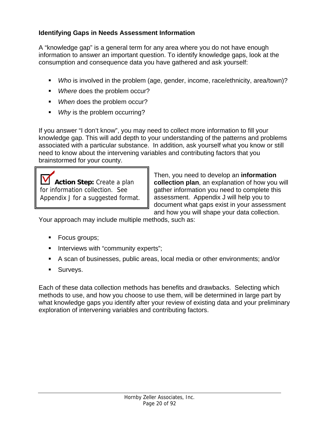## **Identifying Gaps in Needs Assessment Information**

A "knowledge gap" is a general term for any area where you do not have enough information to answer an important question. To identify knowledge gaps, look at the consumption and consequence data you have gathered and ask yourself:

- *Who* is involved in the problem (age, gender, income, race/ethnicity, area/town)?
- *Where* does the problem occur?
- *When* does the problem occur?
- **Why** is the problem occurring?

If you answer "I don't know", you may need to collect more information to fill your knowledge gap. This will add depth to your understanding of the patterns and problems associated with a particular substance. In addition, ask yourself what you know or still need to know about the intervening variables and contributing factors that you brainstormed for your county.

**Action Step:** Create a plan for information collection. See Appendix J for a suggested format. Then, you need to develop an **information collection plan**, an explanation of how you will gather information you need to complete this assessment. Appendix J will help you to document what gaps exist in your assessment and how you will shape your data collection.

Your approach may include multiple methods, such as:

- **Focus groups;**
- **Interviews with "community experts";**
- A scan of businesses, public areas, local media or other environments; and/or
- **Surveys.**

Each of these data collection methods has benefits and drawbacks. Selecting which methods to use, and how you choose to use them, will be determined in large part by what knowledge gaps you identify after your review of existing data and your preliminary exploration of intervening variables and contributing factors.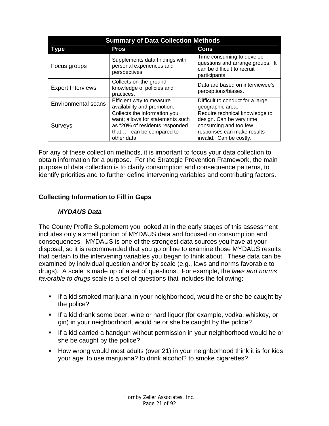| <b>Summary of Data Collection Methods</b> |                                                                                                                                                |                                                                                                                                              |  |
|-------------------------------------------|------------------------------------------------------------------------------------------------------------------------------------------------|----------------------------------------------------------------------------------------------------------------------------------------------|--|
| Type                                      | <b>Pros</b>                                                                                                                                    | Cons                                                                                                                                         |  |
| Focus groups                              | Supplements data findings with<br>personal experiences and<br>perspectives.                                                                    | Time consuming to develop<br>questions and arrange groups. It<br>can be difficult to recruit<br>participants.                                |  |
| <b>Expert Interviews</b>                  | Collects on-the-ground<br>knowledge of policies and<br>practices.                                                                              | Data are based on interviewee's<br>perceptions/biases.                                                                                       |  |
| <b>Environmental scans</b>                | Efficient way to measure<br>availability and promotion.                                                                                        | Difficult to conduct for a large<br>geographic area.                                                                                         |  |
| Surveys                                   | Collects the information you<br>want; allows for statements such<br>as "20% of residents responded<br>that"; can be compared to<br>other data. | Require technical knowledge to<br>design. Can be very time<br>consuming and too few<br>responses can make results<br>invalid. Can be costly. |  |

For any of these collection methods, it is important to focus your data collection to obtain information for a purpose. For the Strategic Prevention Framework, the main purpose of data collection is to clarify consumption and consequence patterns, to identify priorities and to further define intervening variables and contributing factors.

## **Collecting Information to Fill in Gaps**

#### *MYDAUS Data*

The County Profile Supplement you looked at in the early stages of this assessment includes only a small portion of MYDAUS data and focused on consumption and consequences. MYDAUS is one of the strongest data sources you have at your disposal, so it is recommended that you go online to examine those MYDAUS results that pertain to the intervening variables you began to think about. These data can be examined by individual question and/or by scale (e.g., laws and norms favorable to drugs). A scale is made up of a set of questions. For example, the *laws and norms favorable to drugs* scale is a set of questions that includes the following:

- If a kid smoked marijuana in your neighborhood, would he or she be caught by the police?
- If a kid drank some beer, wine or hard liquor (for example, vodka, whiskey, or gin) in your neighborhood, would he or she be caught by the police?
- If a kid carried a handgun without permission in your neighborhood would he or she be caught by the police?
- How wrong would most adults (over 21) in your neighborhood think it is for kids your age: to use marijuana? to drink alcohol? to smoke cigarettes?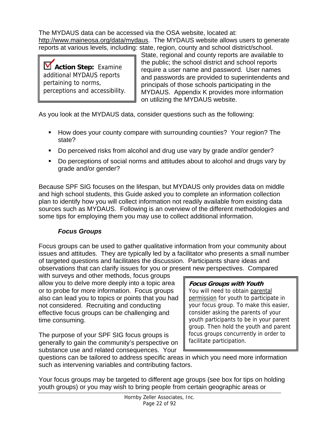The MYDAUS data can be accessed via the OSA website, located at: http://www.maineosa.org/data/mydaus. The MYDAUS website allows users to generate reports at various levels, including: state, region, county and school district/school.

**Action Step:** Examine additional MYDAUS reports pertaining to norms, perceptions and accessibility.

State, regional and county reports are available to the public; the school district and school reports require a user name and password. User names and passwords are provided to superintendents and principals of those schools participating in the MYDAUS. Appendix K provides more information on utilizing the MYDAUS website.

As you look at the MYDAUS data, consider questions such as the following:

- **How does your county compare with surrounding counties? Your region? The** state?
- Do perceived risks from alcohol and drug use vary by grade and/or gender?
- Do perceptions of social norms and attitudes about to alcohol and drugs vary by grade and/or gender?

Because SPF SIG focuses on the lifespan, but MYDAUS only provides data on middle and high school students, this Guide asked you to complete an information collection plan to identify how you will collect information not readily available from existing data sources such as MYDAUS. Following is an overview of the different methodologies and some tips for employing them you may use to collect additional information.

## *Focus Groups*

Focus groups can be used to gather qualitative information from your community about issues and attitudes. They are typically led by a facilitator who presents a small number of targeted questions and facilitates the discussion. Participants share ideas and observations that can clarify issues for you or present new perspectives. Compared

with surveys and other methods, focus groups allow you to delve more deeply into a topic area or to probe for more information. Focus groups also can lead you to topics or points that you had not considered. Recruiting and conducting effective focus groups can be challenging and time consuming.

The purpose of your SPF SIG focus groups is generally to gain the community's perspective on substance use and related consequences. Your

#### **Focus Groups with Youth**

You will need to obtain parental permission for youth to participate in your focus group. To make this easier, consider asking the parents of your youth participants to be in your parent group. Then hold the youth and parent focus groups concurrently in order to facilitate participation.

questions can be tailored to address specific areas in which you need more information such as intervening variables and contributing factors.

Your focus groups may be targeted to different age groups (see box for tips on holding youth groups) or you may wish to bring people from certain geographic areas or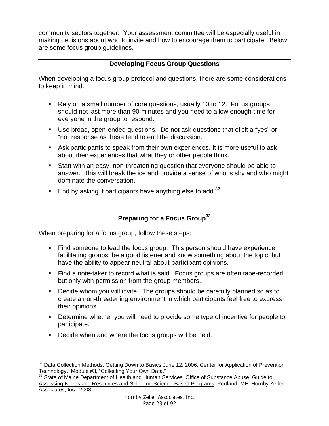community sectors together. Your assessment committee will be especially useful in making decisions about who to invite and how to encourage them to participate. Below are some focus group guidelines.

### **Developing Focus Group Questions**

When developing a focus group protocol and questions, there are some considerations to keep in mind.

- Rely on a small number of core questions, usually 10 to 12. Focus groups should not last more than 90 minutes and you need to allow enough time for everyone in the group to respond.
- Use broad, open-ended questions. Do not ask questions that elicit a "yes" or "no" response as these tend to end the discussion.
- Ask participants to speak from their own experiences. It is more useful to ask about their experiences that what they or other people think.
- Start with an easy, non-threatening question that everyone should be able to answer. This will break the ice and provide a sense of who is shy and who might dominate the conversation.
- End by asking if participants have anything else to add.<sup>32</sup>

## **Preparing for a Focus Group33**

When preparing for a focus group, follow these steps:

- Find someone to lead the focus group. This person should have experience facilitating groups, be a good listener and know something about the topic, but have the ability to appear neutral about participant opinions.
- Find a note-taker to record what is said. Focus groups are often tape-recorded, but only with permission from the group members.
- Decide whom you will invite. The groups should be carefully planned so as to create a non-threatening environment in which participants feel free to express their opinions.
- **Determine whether you will need to provide some type of incentive for people to** participate.
- **Decide when and where the focus groups will be held.**

 $\overline{a}$ <sup>32</sup> Data Collection Methods: Getting Down to Basics June 12, 2006. Center for Application of Prevention Technology. Module #3, "Collecting Your Own Data."

<sup>&</sup>lt;sup>33</sup> State of Maine Department of Health and Human Services. Office of Substance Abuse. Guide to Assessing Needs and Resources and Selecting Science-Based Programs. Portland, ME: Hornby Zeller Associates, Inc., 2003.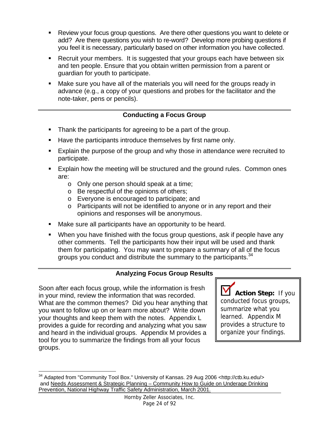- Review your focus group questions. Are there other questions you want to delete or add? Are there questions you wish to re-word? Develop more probing questions if you feel it is necessary, particularly based on other information you have collected.
- **Recruit your members. It is suggested that your groups each have between six** and ten people. Ensure that you obtain written permission from a parent or guardian for youth to participate.
- Make sure you have all of the materials you will need for the groups ready in advance (e.g., a copy of your questions and probes for the facilitator and the note-taker, pens or pencils).

## **Conducting a Focus Group**

- **Thank the participants for agreeing to be a part of the group.**
- Have the participants introduce themselves by first name only.
- Explain the purpose of the group and why those in attendance were recruited to participate.
- **Explain how the meeting will be structured and the ground rules. Common ones** are:
	- o Only one person should speak at a time;
	- o Be respectful of the opinions of others;
	- o Everyone is encouraged to participate; and
	- o Participants will not be identified to anyone or in any report and their opinions and responses will be anonymous.
- Make sure all participants have an opportunity to be heard.
- When you have finished with the focus group questions, ask if people have any other comments. Tell the participants how their input will be used and thank them for participating. You may want to prepare a summary of all of the focus groups you conduct and distribute the summary to the participants.<sup>34</sup>

# **Analyzing Focus Group Results**

Soon after each focus group, while the information is fresh in your mind, review the information that was recorded. What are the common themes? Did you hear anything that you want to follow up on or learn more about? Write down your thoughts and keep them with the notes. Appendix L provides a guide for recording and analyzing what you saw and heard in the individual groups. Appendix M provides a tool for you to summarize the findings from all your focus groups.

**Action Step:** If you conducted focus groups, summarize what you learned. Appendix M provides a structure to organize your findings.

 $\overline{a}$ <sup>34</sup> Adapted from "Community Tool Box." University of Kansas. 29 Aug 2006 <http://ctb.ku.edu/> and Needs Assessment & Strategic Planning – Community How to Guide on Underage Drinking Prevention, National Highway Traffic Safety Administration, March 2001.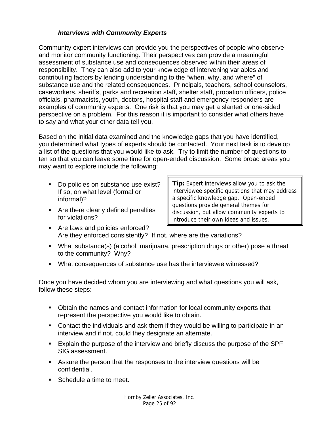#### *Interviews with Community Experts*

Community expert interviews can provide you the perspectives of people who observe and monitor community functioning. Their perspectives can provide a meaningful assessment of substance use and consequences observed within their areas of responsibility. They can also add to your knowledge of intervening variables and contributing factors by lending understanding to the "when, why, and where" of substance use and the related consequences. Principals, teachers, school counselors, caseworkers, sheriffs, parks and recreation staff, shelter staff, probation officers, police officials, pharmacists, youth, doctors, hospital staff and emergency responders are examples of community experts. One risk is that you may get a slanted or one-sided perspective on a problem. For this reason it is important to consider what others have to say and what your other data tell you.

Based on the initial data examined and the knowledge gaps that you have identified, you determined what types of experts should be contacted. Your next task is to develop a list of the questions that you would like to ask. Try to limit the number of questions to ten so that you can leave some time for open-ended discussion. Some broad areas you may want to explore include the following:

- Do policies on substance use exist? If so, on what level (formal or informal)?
- **Are there clearly defined penalties** for violations?

**Tip:** Expert interviews allow you to ask the interviewee specific questions that may address a specific knowledge gap. Open-ended questions provide general themes for discussion, but allow community experts to introduce their own ideas and issues.

- Are laws and policies enforced? Are they enforced consistently? If not, where are the variations?
- What substance(s) (alcohol, marijuana, prescription drugs or other) pose a threat to the community? Why?
- What consequences of substance use has the interviewee witnessed?

Once you have decided whom you are interviewing and what questions you will ask, follow these steps:

- Obtain the names and contact information for local community experts that represent the perspective you would like to obtain.
- Contact the individuals and ask them if they would be willing to participate in an interview and if not, could they designate an alternate.
- Explain the purpose of the interview and briefly discuss the purpose of the SPF SIG assessment.
- Assure the person that the responses to the interview questions will be confidential.
- Schedule a time to meet.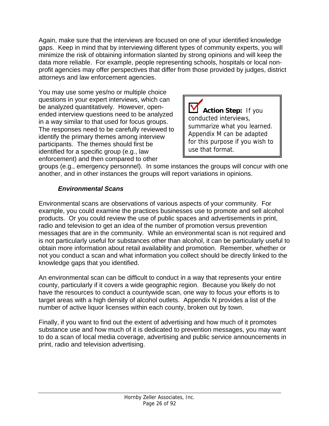Again, make sure that the interviews are focused on one of your identified knowledge gaps. Keep in mind that by interviewing different types of community experts, you will minimize the risk of obtaining information slanted by strong opinions and will keep the data more reliable. For example, people representing schools, hospitals or local nonprofit agencies may offer perspectives that differ from those provided by judges, district attorneys and law enforcement agencies.

You may use some yes/no or multiple choice questions in your expert interviews, which can be analyzed quantitatively. However, openended interview questions need to be analyzed in a way similar to that used for focus groups. The responses need to be carefully reviewed to identify the primary themes among interview participants. The themes should first be identified for a specific group (e.g., law enforcement) and then compared to other

**Action Step:** If you conducted interviews, summarize what you learned. Appendix M can be adapted for this purpose if you wish to use that format.

groups (e.g., emergency personnel). In some instances the groups will concur with one another, and in other instances the groups will report variations in opinions.

## *Environmental Scans*

Environmental scans are observations of various aspects of your community. For example, you could examine the practices businesses use to promote and sell alcohol products. Or you could review the use of public spaces and advertisements in print, radio and television to get an idea of the number of promotion versus prevention messages that are in the community. While an environmental scan is not required and is not particularly useful for substances other than alcohol, it can be particularly useful to obtain more information about retail availability and promotion. Remember, whether or not you conduct a scan and what information you collect should be directly linked to the knowledge gaps that you identified.

An environmental scan can be difficult to conduct in a way that represents your entire county, particularly if it covers a wide geographic region. Because you likely do not have the resources to conduct a countywide scan, one way to focus your efforts is to target areas with a high density of alcohol outlets. Appendix N provides a list of the number of active liquor licenses within each county, broken out by town.

Finally, if you want to find out the extent of advertising and how much of it promotes substance use and how much of it is dedicated to prevention messages, you may want to do a scan of local media coverage, advertising and public service announcements in print, radio and television advertising.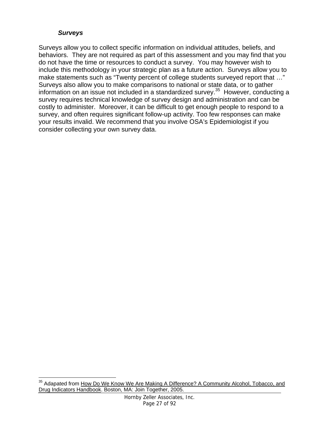#### *Surveys*

Surveys allow you to collect specific information on individual attitudes, beliefs, and behaviors. They are not required as part of this assessment and you may find that you do not have the time or resources to conduct a survey. You may however wish to include this methodology in your strategic plan as a future action. Surveys allow you to make statements such as "Twenty percent of college students surveyed report that …" Surveys also allow you to make comparisons to national or state data, or to gather information on an issue not included in a standardized survey.<sup>35</sup> However, conducting a survey requires technical knowledge of survey design and administration and can be costly to administer. Moreover, it can be difficult to get enough people to respond to a survey, and often requires significant follow-up activity. Too few responses can make your results invalid. We recommend that you involve OSA's Epidemiologist if you consider collecting your own survey data.

 $\overline{a}$ <sup>35</sup> Adapated from How Do We Know We Are Making A Difference? A Community Alcohol, Tobacco, and Drug Indicators Handbook. Boston, MA: Join Together, 2005.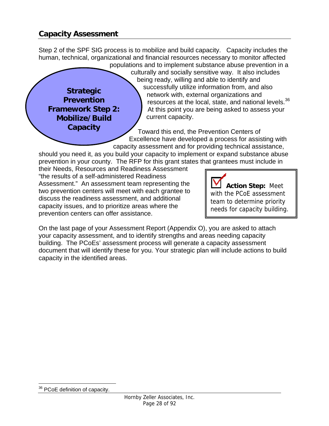## **Capacity Assessment**

**Strategic Prevention Framework Step 2: Mobilize/Build Capacity** 

Step 2 of the SPF SIG process is to mobilize and build capacity. Capacity includes the human, technical, organizational and financial resources necessary to monitor affected

populations and to implement substance abuse prevention in a culturally and socially sensitive way. It also includes being ready, willing and able to identify and successfully utilize information from, and also network with, external organizations and resources at the local, state, and national levels.<sup>36</sup> At this point you are being asked to assess your current capacity.

Toward this end, the Prevention Centers of Excellence have developed a process for assisting with capacity assessment and for providing technical assistance,

should you need it, as you build your capacity to implement or expand substance abuse prevention in your county. The RFP for this grant states that grantees must include in

their Needs, Resources and Readiness Assessment "the results of a self-administered Readiness Assessment." An assessment team representing the two prevention centers will meet with each grantee to discuss the readiness assessment, and additional capacity issues, and to prioritize areas where the prevention centers can offer assistance.

**Action Step:** Meet with the PCoE assessment team to determine priority needs for capacity building.

On the last page of your Assessment Report (Appendix O), you are asked to attach your capacity assessment, and to identify strengths and areas needing capacity building. The PCoEs' assessment process will generate a capacity assessment document that will identify these for you. Your strategic plan will include actions to build capacity in the identified areas.

 $\overline{a}$ <sup>36</sup> PCoE definition of capacity.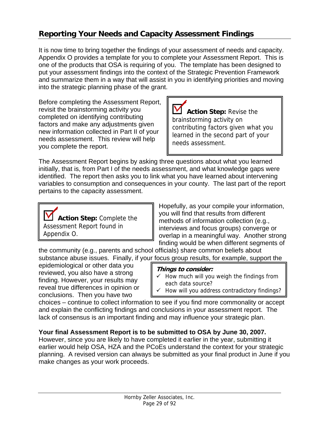# **Reporting Your Needs and Capacity Assessment Findings**

It is now time to bring together the findings of your assessment of needs and capacity. Appendix O provides a template for you to complete your Assessment Report. This is one of the products that OSA is requiring of you. The template has been designed to put your assessment findings into the context of the Strategic Prevention Framework and summarize them in a way that will assist in you in identifying priorities and moving into the strategic planning phase of the grant.

Before completing the Assessment Report, revisit the brainstorming activity you completed on identifying contributing factors and make any adjustments given new information collected in Part II of your needs assessment. This review will help you complete the report.

**Action Step:** Revise the brainstorming activity on contributing factors given what you learned in the second part of your needs assessment.

The Assessment Report begins by asking three questions about what you learned initially, that is, from Part I of the needs assessment, and what knowledge gaps were identified. The report then asks you to link what you have learned about intervening variables to consumption and consequences in your county. The last part of the report pertains to the capacity assessment.



Hopefully, as your compile your information, you will find that results from different methods of information collection (e.g., interviews and focus groups) converge or overlap in a meaningful way. Another strong finding would be when different segments of

the community (e.g., parents and school officials) share common beliefs about substance abuse issues. Finally, if your focus group results, for example, support the

epidemiological or other data you reviewed, you also have a strong finding. However, your results may reveal true differences in opinion or conclusions. Then you have two

#### **Things to consider:**

- $\checkmark$  How much will you weigh the findings from each data source?
- $\checkmark$  How will you address contradictory findings?

choices – continue to collect information to see if you find more commonality or accept and explain the conflicting findings and conclusions in your assessment report. The lack of consensus is an important finding and may influence your strategic plan.

#### **Your final Assessment Report is to be submitted to OSA by June 30, 2007.**

However, since you are likely to have completed it earlier in the year, submitting it earlier would help OSA, HZA and the PCoEs understand the context for your strategic planning. A revised version can always be submitted as your final product in June if you make changes as your work proceeds.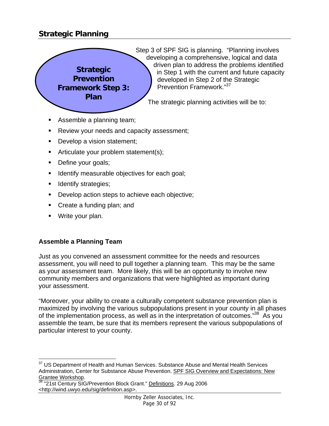# **Strategic Planning**



Step 3 of SPF SIG is planning. "Planning involves developing a comprehensive, logical and data driven plan to address the problems identified in Step 1 with the current and future capacity developed in Step 2 of the Strategic Prevention Framework."<sup>37</sup>

The strategic planning activities will be to:

- Assemble a planning team;
- Review your needs and capacity assessment;
- Develop a vision statement;
- Articulate your problem statement(s);
- Define your goals;
- Identify measurable objectives for each goal;
- Identify strategies;
- Develop action steps to achieve each objective;
- **Create a funding plan; and**
- **Write your plan.**

#### **Assemble a Planning Team**

Just as you convened an assessment committee for the needs and resources assessment, you will need to pull together a planning team. This may be the same as your assessment team. More likely, this will be an opportunity to involve new community members and organizations that were highlighted as important during your assessment.

"Moreover, your ability to create a culturally competent substance prevention plan is maximized by involving the various subpopulations present in your county in all phases of the implementation process, as well as in the interpretation of outcomes.<sup>38</sup> As you assemble the team, be sure that its members represent the various subpopulations of particular interest to your county.

<sup>&</sup>lt;u>.</u> <sup>37</sup> US Department of Health and Human Services. Substance Abuse and Mental Health Services Administration, Center for Substance Abuse Prevention. SPF SIG Overview and Expectations: New Grantee Workshop.<br><sup>38</sup> "21st Century SIG/Prevention Block Grant." <u>Definitions</u>. 29 Aug 2006

<sup>&</sup>lt;http://wind.uwyo.edu/sig/definition.asp>.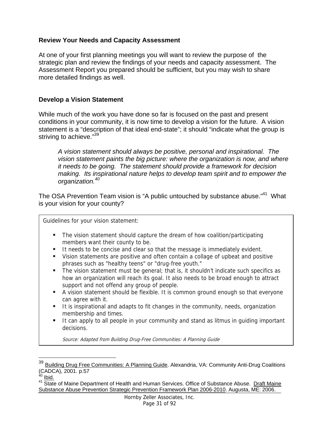#### **Review Your Needs and Capacity Assessment**

At one of your first planning meetings you will want to review the purpose of the strategic plan and review the findings of your needs and capacity assessment. The Assessment Report you prepared should be sufficient, but you may wish to share more detailed findings as well.

#### **Develop a Vision Statement**

While much of the work you have done so far is focused on the past and present conditions in your community, it is now time to develop a vision for the future. A vision statement is a "description of that ideal end-state"; it should "indicate what the group is striving to achieve."39

*A vision statement should always be positive, personal and inspirational. The vision statement paints the big picture: where the organization is now, and where it needs to be going. The statement should provide a framework for decision making. Its inspirational nature helps to develop team spirit and to empower the organization.<sup>40</sup>*

The OSA Prevention Team vision is "A public untouched by substance abuse."<sup>41</sup> What is your vision for your county?

Guidelines for your vision statement:

- The vision statement should capture the dream of how coalition/participating members want their county to be.
- It needs to be concise and clear so that the message is immediately evident.
- Vision statements are positive and often contain a collage of upbeat and positive phrases such as "healthy teens" or "drug-free youth."
- The vision statement must be general; that is, it shouldn't indicate such specifics as how an organization will reach its goal. It also needs to be broad enough to attract support and not offend any group of people.
- A vision statement should be flexible. It is common ground enough so that everyone can agree with it.
- It is inspirational and adapts to fit changes in the community, needs, organization membership and times.
- It can apply to all people in your community and stand as litmus in guiding important decisions.

Source: Adapted from Building Drug-Free Communities: A Planning Guide

 $\overline{a}$ 

<sup>&</sup>lt;sup>39</sup> Building Drug Free Communities: A Planning Guide. Alexandria, VA: Community Anti-Drug Coalitions (CADCA), 2001. p.57

<sup>&</sup>lt;sup>40</sup> <u>Ibid.</u>

<sup>&</sup>lt;sup>41</sup> State of Maine Department of Health and Human Services. Office of Substance Abuse. Draft Maine Substance Abuse Prevention Strategic Prevention Framework Plan 2006-2010. Augusta, ME: 2006.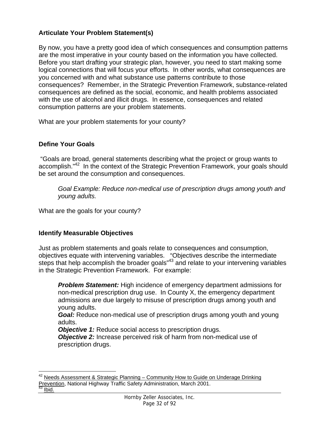### **Articulate Your Problem Statement(s)**

By now, you have a pretty good idea of which consequences and consumption patterns are the most imperative in your county based on the information you have collected. Before you start drafting your strategic plan, however, you need to start making some logical connections that will focus your efforts. In other words, what consequences are you concerned with and what substance use patterns contribute to those consequences? Remember, in the Strategic Prevention Framework, substance-related consequences are defined as the social, economic, and health problems associated with the use of alcohol and illicit drugs. In essence, consequences and related consumption patterns are your problem statements.

What are your problem statements for your county?

## **Define Your Goals**

 "Goals are broad, general statements describing what the project or group wants to accomplish."<sup>42</sup> In the context of the Strategic Prevention Framework, your goals should be set around the consumption and consequences.

*Goal Example: Reduce non-medical use of prescription drugs among youth and young adults.* 

What are the goals for your county?

#### **Identify Measurable Objectives**

Just as problem statements and goals relate to consequences and consumption, objectives equate with intervening variables. "Objectives describe the intermediate steps that help accomplish the broader goals<sup>"43</sup> and relate to your intervening variables in the Strategic Prevention Framework. For example:

*Problem Statement:* High incidence of emergency department admissions for non-medical prescription drug use. In County X, the emergency department admissions are due largely to misuse of prescription drugs among youth and young adults.

*Goal:* Reduce non-medical use of prescription drugs among youth and young adults.

*Objective 1:* Reduce social access to prescription drugs.

*Objective 2:* Increase perceived risk of harm from non-medical use of prescription drugs.

 $\overline{a}$  $42$  Needs Assessment & Strategic Planning – Community How to Guide on Underage Drinking Prevention, National Highway Traffic Safety Administration, March 2001.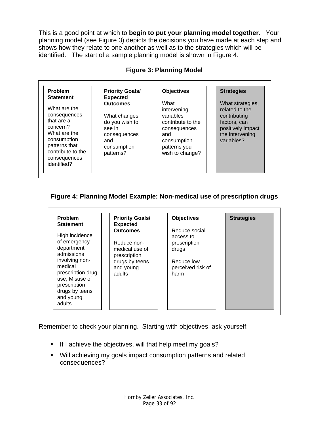This is a good point at which to **begin to put your planning model together.** Your planning model (see Figure 3) depicts the decisions you have made at each step and shows how they relate to one another as well as to the strategies which will be identified. The start of a sample planning model is shown in Figure 4.

|  |  | <b>Figure 3: Planning Model</b> |  |
|--|--|---------------------------------|--|
|--|--|---------------------------------|--|

| Problem<br><b>Statement</b>                                                                                                                                | <b>Priority Goals/</b><br><b>Expected</b>                                                                      | <b>Objectives</b>                                                                                                              | <b>Strategies</b>                                                                                                        |
|------------------------------------------------------------------------------------------------------------------------------------------------------------|----------------------------------------------------------------------------------------------------------------|--------------------------------------------------------------------------------------------------------------------------------|--------------------------------------------------------------------------------------------------------------------------|
| What are the<br>consequences<br>that are a<br>concern?<br>What are the<br>consumption<br>patterns that<br>contribute to the<br>consequences<br>identified? | <b>Outcomes</b><br>What changes<br>do you wish to<br>see in<br>consequences<br>and<br>consumption<br>patterns? | What<br>intervening<br>variables<br>contribute to the<br>consequences<br>and<br>consumption<br>patterns you<br>wish to change? | What strategies,<br>related to the<br>contributing<br>factors, can<br>positively impact<br>the intervening<br>variables? |

#### **Figure 4: Planning Model Example: Non-medical use of prescription drugs**

| <b>Problem</b><br><b>Statement</b>                                                                                                                                                      | <b>Priority Goals/</b><br><b>Expected</b>                                                                 | <b>Objectives</b>                                                                              | <b>Strategies</b> |
|-----------------------------------------------------------------------------------------------------------------------------------------------------------------------------------------|-----------------------------------------------------------------------------------------------------------|------------------------------------------------------------------------------------------------|-------------------|
| High incidence<br>of emergency<br>department<br>admissions<br>involving non-<br>medical<br>prescription drug<br>use; Misuse of<br>prescription<br>drugs by teens<br>and young<br>adults | <b>Outcomes</b><br>Reduce non-<br>medical use of<br>prescription<br>drugs by teens<br>and young<br>adults | Reduce social<br>access to<br>prescription<br>drugs<br>Reduce low<br>perceived risk of<br>harm |                   |

Remember to check your planning. Starting with objectives, ask yourself:

- If I achieve the objectives, will that help meet my goals?
- Will achieving my goals impact consumption patterns and related consequences?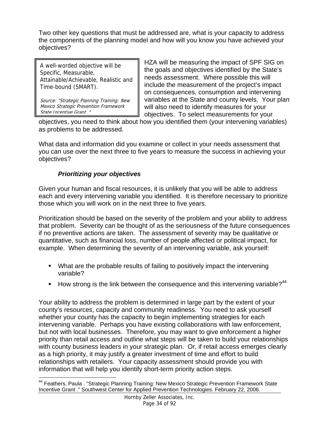Two other key questions that must be addressed are, what is your capacity to address the components of the planning model and how will you know you have achieved your objectives?

A well-worded objective will be Specific, Measurable, Attainable/Achievable, Realistic and Time-bound (SMART).

Source: "Strategic Planning Training: New Mexico Strategic Prevention Framework State Incentive Grant ."

HZA will be measuring the impact of SPF SIG on the goals and objectives identified by the State's needs assessment. Where possible this will include the measurement of the project's impact on consequences, consumption and intervening variables at the State and county levels. Your plan will also need to identify measures for your objectives. To select measurements for your

objectives, you need to think about how you identified them (your intervening variables) as problems to be addressed.

What data and information did you examine or collect in your needs assessment that you can use over the next three to five years to measure the success in achieving your objectives?

### *Prioritizing your objectives*

Given your human and fiscal resources, it is unlikely that you will be able to address each and every intervening variable you identified. It is therefore necessary to prioritize those which you will work on in the next three to five years.

Prioritization should be based on the severity of the problem and your ability to address that problem. Severity can be thought of as the seriousness of the future consequences if no preventive actions are taken. The assessment of severity may be qualitative or quantitative, such as financial loss, number of people affected or political impact, for example. When determining the severity of an intervening variable, ask yourself:

- What are the probable results of failing to positively impact the intervening variable?
- How strong is the link between the consequence and this intervening variable?<sup>44</sup>

Your ability to address the problem is determined in large part by the extent of your county's resources, capacity and community readiness. You need to ask yourself whether your county has the capacity to begin implementing strategies for each intervening variable. Perhaps you have existing collaborations with law enforcement, but not with local businesses. Therefore, you may want to give enforcement a higher priority than retail access and outline what steps will be taken to build your relationships with county business leaders in your strategic plan. Or, if retail access emerges clearly as a high priority, it may justify a greater investment of time and effort to build relationships with retailers. Your capacity assessment should provide you with information that will help you identify short-term priority action steps.

<sup>&</sup>lt;u>.</u> <sup>44</sup> Feathers, Paula . "Strategic Planning Training: New Mexico Strategic Prevention Framework State Incentive Grant ." Southwest Center for Applied Prevention Technologies. February 22, 2006.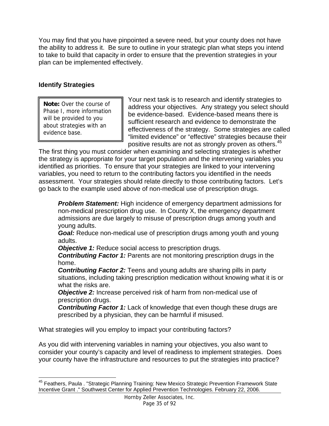You may find that you have pinpointed a severe need, but your county does not have the ability to address it.Be sure to outline in your strategic plan what steps you intend to take to build that capacity in order to ensure that the prevention strategies in your plan can be implemented effectively.

### **Identify Strategies**

<u>.</u>

**Note:** Over the course of Phase I, more information will be provided to you about strategies with an evidence base.

Your next task is to research and identify strategies to address your objectives. Any strategy you select should be evidence-based. Evidence-based means there is sufficient research and evidence to demonstrate the effectiveness of the strategy. Some strategies are called "limited evidence" or "effective" strategies because their positive results are not as strongly proven as others.<sup>45</sup>

The first thing you must consider when examining and selecting strategies is whether the strategy is appropriate for your target population and the intervening variables you identified as priorities. To ensure that your strategies are linked to your intervening variables, you need to return to the contributing factors you identified in the needs assessment. Your strategies should relate directly to those contributing factors. Let's go back to the example used above of non-medical use of prescription drugs.

*Problem Statement:* High incidence of emergency department admissions for non-medical prescription drug use. In County X, the emergency department admissions are due largely to misuse of prescription drugs among youth and young adults.

*Goal:* Reduce non-medical use of prescription drugs among youth and young adults.

*Objective 1:* Reduce social access to prescription drugs.

*Contributing Factor 1:* Parents are not monitoring prescription drugs in the home.

**Contributing Factor 2:** Teens and young adults are sharing pills in party situations, including taking prescription medication without knowing what it is or what the risks are.

*Objective 2:* Increase perceived risk of harm from non-medical use of prescription drugs.

*Contributing Factor 1:* Lack of knowledge that even though these drugs are prescribed by a physician, they can be harmful if misused.

What strategies will you employ to impact your contributing factors?

As you did with intervening variables in naming your objectives, you also want to consider your county's capacity and level of readiness to implement strategies. Does your county have the infrastructure and resources to put the strategies into practice?

<sup>&</sup>lt;sup>45</sup> Feathers, Paula . "Strategic Planning Training: New Mexico Strategic Prevention Framework State Incentive Grant ." Southwest Center for Applied Prevention Technologies. February 22, 2006.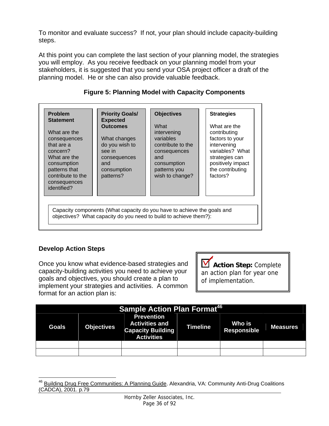To monitor and evaluate success? If not, your plan should include capacity-building steps.

At this point you can complete the last section of your planning model, the strategies you will employ. As you receive feedback on your planning model from your stakeholders, it is suggested that you send your OSA project officer a draft of the planning model. He or she can also provide valuable feedback.

| <b>Problem</b><br><b>Statement</b>                                                                                                                         | <b>Priority Goals/</b><br><b>Expected</b>                                                                      | <b>Objectives</b>                                                                                                                            | <b>Strategies</b>                                                                                                                                        |
|------------------------------------------------------------------------------------------------------------------------------------------------------------|----------------------------------------------------------------------------------------------------------------|----------------------------------------------------------------------------------------------------------------------------------------------|----------------------------------------------------------------------------------------------------------------------------------------------------------|
| What are the<br>consequences<br>that are a<br>concern?<br>What are the<br>consumption<br>patterns that<br>contribute to the<br>consequences<br>identified? | <b>Outcomes</b><br>What changes<br>do you wish to<br>see in<br>consequences<br>and<br>consumption<br>patterns? | What<br>intervening<br>variables<br>contribute to the<br>consequences<br>and<br>consumption<br>patterns you<br>wish to change?               | What are the<br>contributing<br>factors to your<br>intervening<br>variables? What<br>strategies can<br>positively impact<br>the contributing<br>factors? |
|                                                                                                                                                            |                                                                                                                | Capacity components (What capacity do you have to achieve the goals and<br>objectives? What capacity do you need to build to achieve them?): |                                                                                                                                                          |

### **Figure 5: Planning Model with Capacity Components**

### **Develop Action Steps**

Once you know what evidence-based strategies and capacity-building activities you need to achieve your goals and objectives, you should create a plan to implement your strategies and activities. A common format for an action plan is:

**Action Step:** Complete an action plan for year one of implementation.

| <b>Sample Action Plan Format<sup>46</sup></b> |                   |                                                                                             |                 |                       |                 |  |  |
|-----------------------------------------------|-------------------|---------------------------------------------------------------------------------------------|-----------------|-----------------------|-----------------|--|--|
| <b>Goals</b>                                  | <b>Objectives</b> | <b>Prevention</b><br><b>Activities and</b><br><b>Capacity Building</b><br><b>Activities</b> | <b>Timeline</b> | Who is<br>Responsible | <b>Measures</b> |  |  |
|                                               |                   |                                                                                             |                 |                       |                 |  |  |
|                                               |                   |                                                                                             |                 |                       |                 |  |  |

 $\overline{a}$ <sup>46</sup> Building Drug Free Communities: A Planning Guide. Alexandria, VA: Community Anti-Drug Coalitions (CADCA), 2001. p.79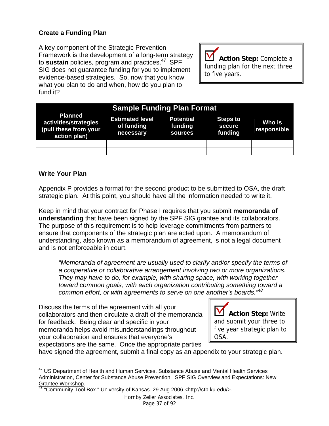### **Create a Funding Plan**

A key component of the Strategic Prevention Framework is the development of a long-term strategy to **sustain** policies, program and practices.<sup>47</sup> SPF SIG does not guarantee funding for you to implement evidence-based strategies. So, now that you know what you plan to do and when, how do you plan to fund it?

M **Action Step:** Complete a funding plan for the next three to five years.

|                                                                                  |                                                   | <b>Sample Funding Plan Format</b>      |                                      |                       |
|----------------------------------------------------------------------------------|---------------------------------------------------|----------------------------------------|--------------------------------------|-----------------------|
| <b>Planned</b><br>activities/strategies<br>(pull these from your<br>action plan) | <b>Estimated level</b><br>of funding<br>necessary | <b>Potential</b><br>funding<br>sources | <b>Steps to</b><br>secure<br>funding | Who is<br>responsible |
|                                                                                  |                                                   |                                        |                                      |                       |
|                                                                                  |                                                   |                                        |                                      |                       |

#### **Write Your Plan**

 $\overline{a}$ 

Appendix P provides a format for the second product to be submitted to OSA, the draft strategic plan. At this point, you should have all the information needed to write it.

Keep in mind that your contract for Phase I requires that you submit **memoranda of understanding** that have been signed by the SPF SIG grantee and its collaborators. The purpose of this requirement is to help leverage commitments from partners to ensure that components of the strategic plan are acted upon. A memorandum of understanding, also known as a memorandum of agreement, is not a legal document and is not enforceable in court.

*"Memoranda of agreement are usually used to clarify and/or specify the terms of a cooperative or collaborative arrangement involving two or more organizations. They may have to do, for example, with sharing space, with working together toward common goals, with each organization contributing something toward a common effort, or with agreements to serve on one another's boards."48* 

Discuss the terms of the agreement with all your collaborators and then circulate a draft of the memoranda for feedback. Being clear and specific in your memoranda helps avoid misunderstandings throughout your collaboration and ensures that everyone's expectations are the same. Once the appropriate parties



have signed the agreement, submit a final copy as an appendix to your strategic plan.

 $47$  US Department of Health and Human Services. Substance Abuse and Mental Health Services Administration, Center for Substance Abuse Prevention. SPF SIG Overview and Expectations: New Grantee Workshop.<br><sup>48</sup> "Community Tool Box." University of Kansas. 29 Aug 2006 <http://ctb.ku.edu/>.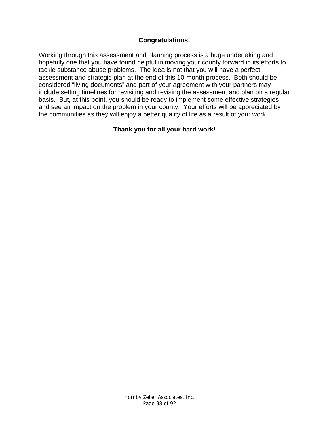### **Congratulations!**

Working through this assessment and planning process is a huge undertaking and hopefully one that you have found helpful in moving your county forward in its efforts to tackle substance abuse problems. The idea is not that you will have a perfect assessment and strategic plan at the end of this 10-month process. Both should be considered "living documents" and part of your agreement with your partners may include setting timelines for revisiting and revising the assessment and plan on a regular basis. But, at this point, you should be ready to implement some effective strategies and see an impact on the problem in your county. Your efforts will be appreciated by the communities as they will enjoy a better quality of life as a result of your work.

### **Thank you for all your hard work!**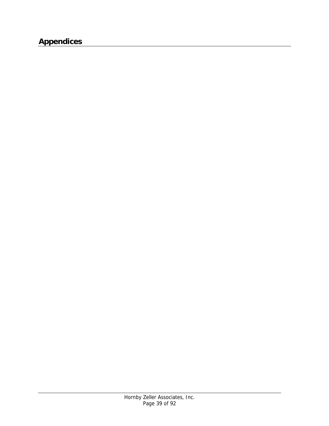## **Appendices**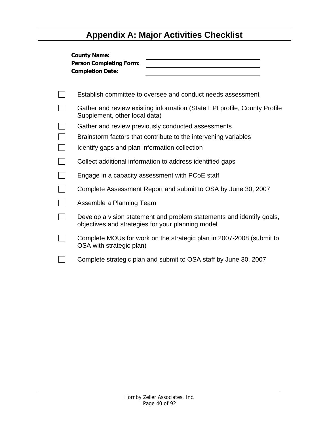# **Appendix A: Major Activities Checklist**

| <b>County Name:</b><br><b>Person Completing Form:</b><br><b>Completion Date:</b>                                           |
|----------------------------------------------------------------------------------------------------------------------------|
| Establish committee to oversee and conduct needs assessment                                                                |
| Gather and review existing information (State EPI profile, County Profile<br>Supplement, other local data)                 |
| Gather and review previously conducted assessments                                                                         |
| Brainstorm factors that contribute to the intervening variables                                                            |
| Identify gaps and plan information collection                                                                              |
| Collect additional information to address identified gaps                                                                  |
| Engage in a capacity assessment with PCoE staff                                                                            |
| Complete Assessment Report and submit to OSA by June 30, 2007                                                              |
| Assemble a Planning Team                                                                                                   |
| Develop a vision statement and problem statements and identify goals,<br>objectives and strategies for your planning model |
| Complete MOUs for work on the strategic plan in 2007-2008 (submit to<br>OSA with strategic plan)                           |
| Complete strategic plan and submit to OSA staff by June 30, 2007                                                           |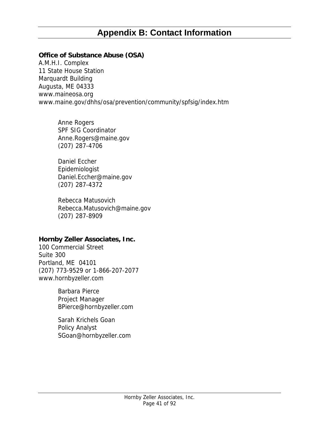## **Appendix B: Contact Information**

#### **Office of Substance Abuse (OSA)**

A.M.H.I. Complex 11 State House Station Marquardt Building Augusta, ME 04333 www.maineosa.org www.maine.gov/dhhs/osa/prevention/community/spfsig/index.htm

> Anne Rogers SPF SIG Coordinator Anne.Rogers@maine.gov (207) 287-4706

Daniel Eccher Epidemiologist Daniel.Eccher@maine.gov (207) 287-4372

Rebecca Matusovich Rebecca.Matusovich@maine.gov (207) 287-8909

### **Hornby Zeller Associates, Inc.**

100 Commercial Street Suite 300 Portland, ME 04101 (207) 773-9529 or 1-866-207-2077 www.hornbyzeller.com

> Barbara Pierce Project Manager BPierce@hornbyzeller.com

Sarah Krichels Goan Policy Analyst SGoan@hornbyzeller.com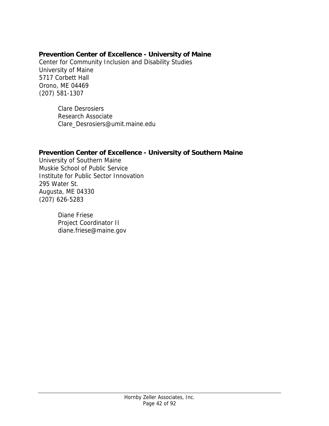### **Prevention Center of Excellence - University of Maine**

Center for Community Inclusion and Disability Studies University of Maine 5717 Corbett Hall Orono, ME 04469 (207) 581-1307

> Clare Desrosiers Research Associate Clare\_Desrosiers@umit.maine.edu

### **Prevention Center of Excellence - University of Southern Maine**

University of Southern Maine Muskie School of Public Service Institute for Public Sector Innovation 295 Water St. Augusta, ME 04330 (207) 626-5283

> Diane Friese Project Coordinator II diane.friese@maine.gov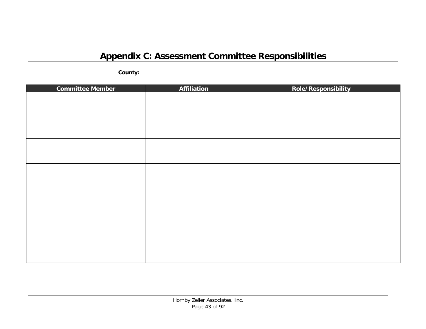# **Appendix C: Assessment Committee Responsibilities**

**County:** 

| <b>Committee Member</b> | Affiliation | Role/Responsibility |
|-------------------------|-------------|---------------------|
|                         |             |                     |
|                         |             |                     |
|                         |             |                     |
|                         |             |                     |
|                         |             |                     |
|                         |             |                     |
|                         |             |                     |
|                         |             |                     |
|                         |             |                     |
|                         |             |                     |
|                         |             |                     |
|                         |             |                     |
|                         |             |                     |
|                         |             |                     |
|                         |             |                     |
|                         |             |                     |
|                         |             |                     |
|                         |             |                     |
|                         |             |                     |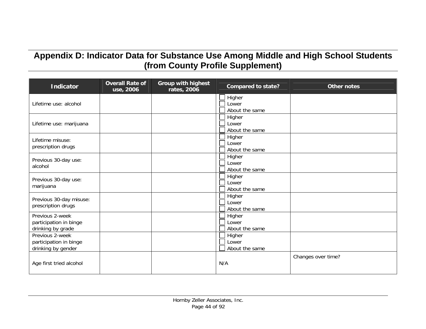# **Appendix D: Indicator Data for Substance Use Among Middle and High School Students (from County Profile Supplement)**

| <b>Indicator</b>                                                | <b>Overall Rate of</b><br>use, 2006 | <b>Group with highest</b><br>rates, 2006 | <b>Compared to state?</b>         | <b>Other notes</b> |
|-----------------------------------------------------------------|-------------------------------------|------------------------------------------|-----------------------------------|--------------------|
| Lifetime use: alcohol                                           |                                     |                                          | Higher<br>Lower<br>About the same |                    |
| Lifetime use: marijuana                                         |                                     |                                          | Higher<br>Lower<br>About the same |                    |
| Lifetime misuse:<br>prescription drugs                          |                                     |                                          | Higher<br>Lower<br>About the same |                    |
| Previous 30-day use:<br>alcohol                                 |                                     |                                          | Higher<br>Lower<br>About the same |                    |
| Previous 30-day use:<br>marijuana                               |                                     |                                          | Higher<br>Lower<br>About the same |                    |
| Previous 30-day misuse:<br>prescription drugs                   |                                     |                                          | Higher<br>Lower<br>About the same |                    |
| Previous 2-week<br>participation in binge<br>drinking by grade  |                                     |                                          | Higher<br>Lower<br>About the same |                    |
| Previous 2-week<br>participation in binge<br>drinking by gender |                                     |                                          | Higher<br>Lower<br>About the same |                    |
| Age first tried alcohol                                         |                                     |                                          | N/A                               | Changes over time? |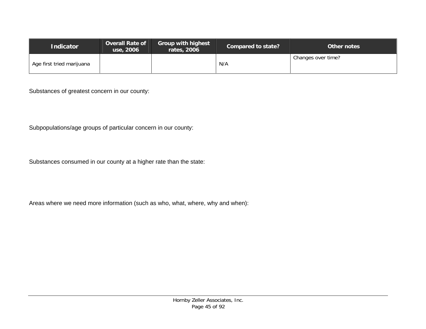| <b>Indicator</b>          | <b>Overall Rate of</b><br>use, 2006 | <b>Group with highest</b><br>rates, 2006 | Compared to state? | Other notes        |
|---------------------------|-------------------------------------|------------------------------------------|--------------------|--------------------|
| Age first tried marijuana |                                     |                                          | N/A                | Changes over time? |

Substances of greatest concern in our county:

Subpopulations/age groups of particular concern in our county:

Substances consumed in our county at a higher rate than the state:

Areas where we need more information (such as who, what, where, why and when):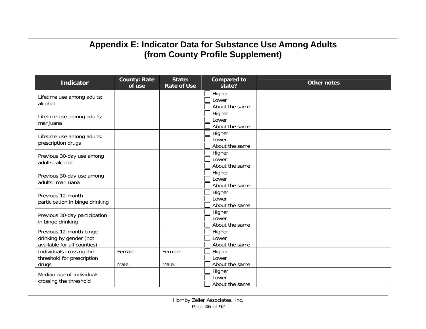# **Appendix E: Indicator Data for Substance Use Among Adults (from County Profile Supplement)**

| <b>Indicator</b>                                                                  | <b>County: Rate</b><br>of use | State:<br><b>Rate of Use</b> | <b>Compared to</b><br>state?      | <b>Other notes</b> |
|-----------------------------------------------------------------------------------|-------------------------------|------------------------------|-----------------------------------|--------------------|
| Lifetime use among adults:<br>alcohol                                             |                               |                              | Higher<br>Lower<br>About the same |                    |
| Lifetime use among adults:<br>marijuana                                           |                               |                              | Higher<br>Lower<br>About the same |                    |
| Lifetime use among adults:<br>prescription drugs                                  |                               |                              | Higher<br>Lower<br>About the same |                    |
| Previous 30-day use among<br>adults: alcohol                                      |                               |                              | Higher<br>Lower<br>About the same |                    |
| Previous 30-day use among<br>adults: marijuana                                    |                               |                              | Higher<br>Lower<br>About the same |                    |
| Previous 12-month<br>participation in binge drinking                              |                               |                              | Higher<br>Lower<br>About the same |                    |
| Previous 30-day participation<br>in binge drinking                                |                               |                              | Higher<br>Lower<br>About the same |                    |
| Previous 12-month binge<br>drinking by gender (not<br>available for all counties) |                               |                              | Higher<br>Lower<br>About the same |                    |
| Individuals crossing the<br>threshold for prescription<br>drugs                   | Female:<br>Male:              | Female:<br>Male:             | Higher<br>Lower<br>About the same |                    |
| Median age of individuals<br>crossing the threshold                               |                               |                              | Higher<br>Lower<br>About the same |                    |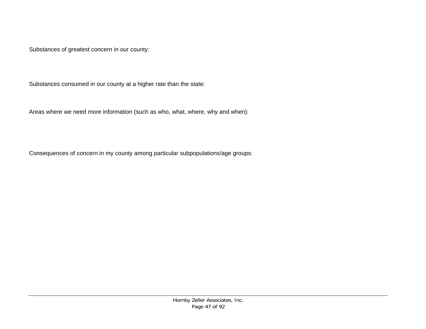Substances of greatest concern in our county:

Substances consumed in our county at a higher rate than the state:

Areas where we need more information (such as who, what, where, why and when):

Consequences of concern in my county among particular subpopulations/age groups: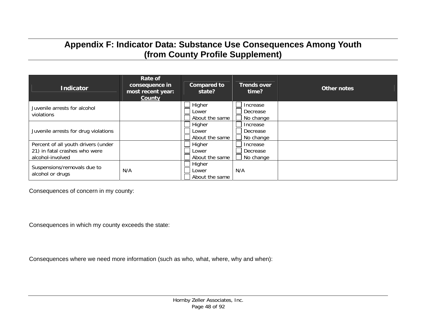## **Appendix F: Indicator Data: Substance Use Consequences Among Youth (from County Profile Supplement)**

| <b>Indicator</b>                                                                         | Rate of<br>consequence in<br>most recent year:<br>County | <b>Compared to</b><br>state?      | <b>Trends over</b><br>time?       | <b>Other notes</b> |
|------------------------------------------------------------------------------------------|----------------------------------------------------------|-----------------------------------|-----------------------------------|--------------------|
| Juvenile arrests for alcohol<br>violations                                               |                                                          | Higher<br>Lower<br>About the same | Increase<br>Decrease<br>No change |                    |
| Juvenile arrests for drug violations                                                     |                                                          | Higher<br>Lower<br>About the same | Increase<br>Decrease<br>No change |                    |
| Percent of all youth drivers (under<br>21) in fatal crashes who were<br>alcohol-involved |                                                          | Higher<br>Lower<br>About the same | Increase<br>Decrease<br>No change |                    |
| Suspensions/removals due to<br>alcohol or drugs                                          | N/A                                                      | Higher<br>Lower<br>About the same | N/A                               |                    |

Consequences of concern in my county:

Consequences in which my county exceeds the state:

Consequences where we need more information (such as who, what, where, why and when):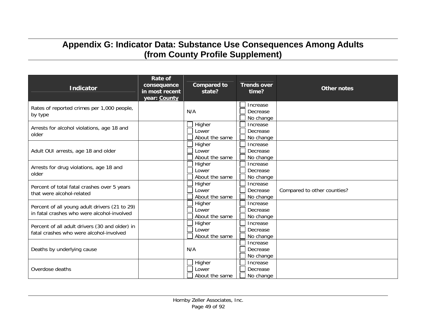## **Appendix G: Indicator Data: Substance Use Consequences Among Adults (from County Profile Supplement)**

| <b>Indicator</b>                                                                            | <b>Rate of</b><br>consequence<br>in most recent<br>year: County | <b>Compared to</b><br>state?      | <b>Trends over</b><br>time?       | <b>Other notes</b>          |
|---------------------------------------------------------------------------------------------|-----------------------------------------------------------------|-----------------------------------|-----------------------------------|-----------------------------|
| Rates of reported crimes per 1,000 people,<br>by type                                       |                                                                 | N/A                               | Increase<br>Decrease<br>No change |                             |
| Arrests for alcohol violations, age 18 and<br>older                                         |                                                                 | Higher<br>Lower<br>About the same | Increase<br>Decrease<br>No change |                             |
| Adult OUI arrests, age 18 and older                                                         |                                                                 | Higher<br>Lower<br>About the same | Increase<br>Decrease<br>No change |                             |
| Arrests for drug violations, age 18 and<br>older                                            |                                                                 | Higher<br>Lower<br>About the same | Increase<br>Decrease<br>No change |                             |
| Percent of total fatal crashes over 5 years<br>that were alcohol-related                    |                                                                 | Higher<br>Lower<br>About the same | Increase<br>Decrease<br>No change | Compared to other counties? |
| Percent of all young adult drivers (21 to 29)<br>in fatal crashes who were alcohol-involved |                                                                 | Higher<br>Lower<br>About the same | Increase<br>Decrease<br>No change |                             |
| Percent of all adult drivers (30 and older) in<br>fatal crashes who were alcohol-involved   |                                                                 | Higher<br>Lower<br>About the same | Increase<br>Decrease<br>No change |                             |
| Deaths by underlying cause                                                                  |                                                                 | N/A                               | Increase<br>Decrease<br>No change |                             |
| Overdose deaths                                                                             |                                                                 | Higher<br>Lower<br>About the same | Increase<br>Decrease<br>No change |                             |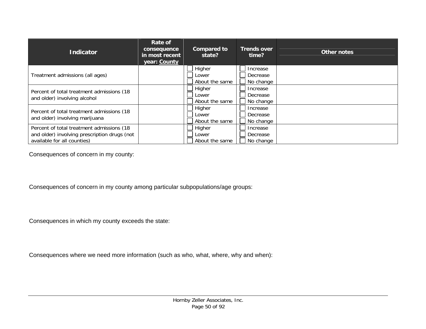| <b>Indicator</b>                                                                                                          | Rate of<br>consequence<br>in most recent<br>year: County | <b>Compared to</b><br>state?      | <b>Trends over</b><br>time?       | Other notes |
|---------------------------------------------------------------------------------------------------------------------------|----------------------------------------------------------|-----------------------------------|-----------------------------------|-------------|
| Treatment admissions (all ages)                                                                                           |                                                          | Higher<br>Lower<br>About the same | Increase<br>Decrease<br>No change |             |
| Percent of total treatment admissions (18)<br>and older) involving alcohol                                                |                                                          | Higher<br>Lower<br>About the same | Increase<br>Decrease<br>No change |             |
| Percent of total treatment admissions (18)<br>and older) involving marijuana                                              |                                                          | Higher<br>Lower<br>About the same | Increase<br>Decrease<br>No change |             |
| Percent of total treatment admissions (18)<br>and older) involving prescription drugs (not<br>available for all counties) |                                                          | Higher<br>Lower<br>About the same | Increase<br>Decrease<br>No change |             |

Consequences of concern in my county:

Consequences of concern in my county among particular subpopulations/age groups:

Consequences in which my county exceeds the state:

Consequences where we need more information (such as who, what, where, why and when):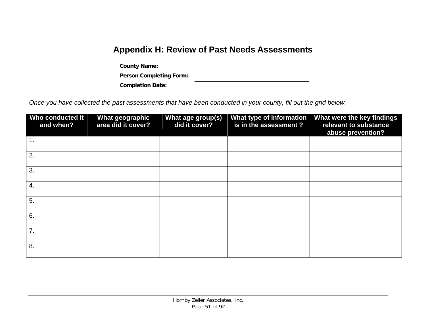# **Appendix H: Review of Past Needs Assessments**

**County Name:** 

**Person Completing Form:** 

**Completion Date:** 

*Once you have collected the past assessments that have been conducted in your county, fill out the grid below.* 

| Who conducted it<br>and when? | <b>What geographic</b><br>area did it cover? | What age group(s)<br>did it cover? | What type of information<br>is in the assessment? | What were the key findings<br>relevant to substance<br>abuse prevention? |
|-------------------------------|----------------------------------------------|------------------------------------|---------------------------------------------------|--------------------------------------------------------------------------|
| 1.                            |                                              |                                    |                                                   |                                                                          |
| 2.                            |                                              |                                    |                                                   |                                                                          |
| 3.                            |                                              |                                    |                                                   |                                                                          |
| $\overline{4}$ .              |                                              |                                    |                                                   |                                                                          |
| 5.                            |                                              |                                    |                                                   |                                                                          |
| 6.                            |                                              |                                    |                                                   |                                                                          |
| 7.                            |                                              |                                    |                                                   |                                                                          |
| 8.                            |                                              |                                    |                                                   |                                                                          |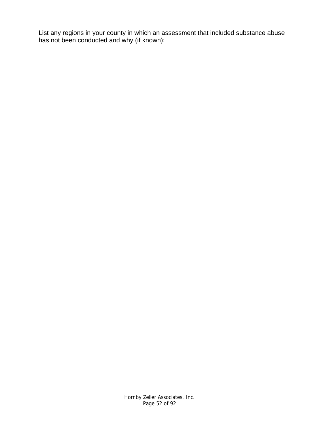List any regions in your county in which an assessment that included substance abuse has not been conducted and why (if known):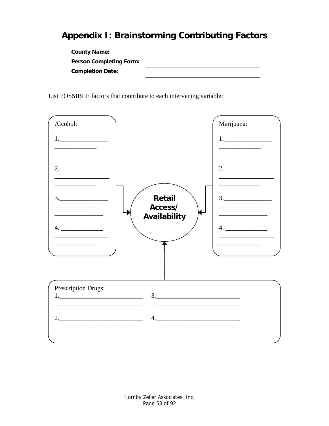# **Appendix I: Brainstorming Contributing Factors**

| <b>County Name:</b>            |  |
|--------------------------------|--|
| <b>Person Completing Form:</b> |  |
| <b>Completion Date:</b>        |  |

List POSSIBLE factors that contribute to each intervening variable:

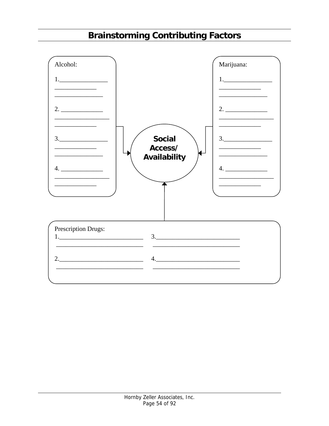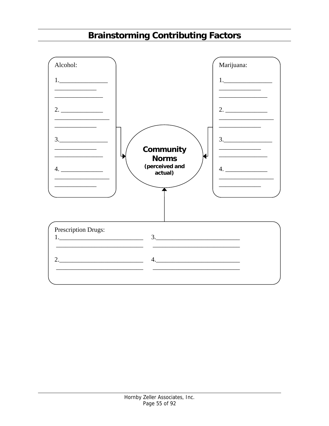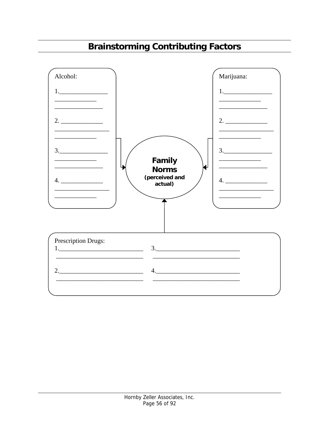# **Brainstorming Contributing Factors**

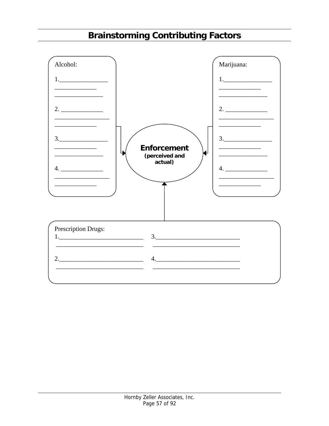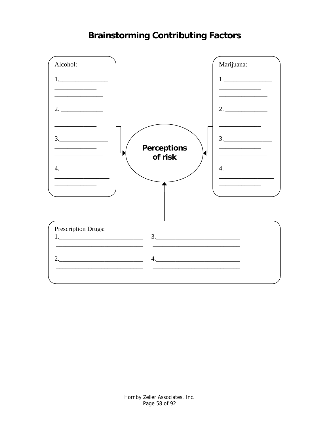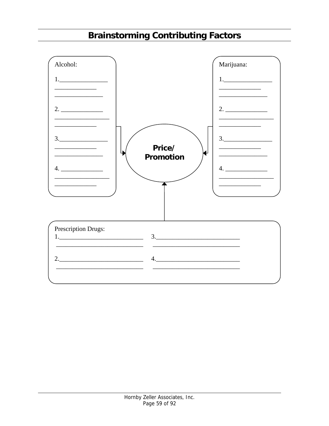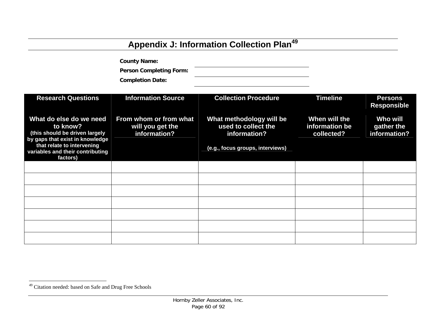# **Appendix J: Information Collection Plan<sup>49</sup>**

**County Name: Person Completing Form: Completion Date:** 

| <b>Research Questions</b>                                                                                     | <b>Information Source</b>                                  | <b>Collection Procedure</b>                                     | <b>Timeline</b>                               | <b>Persons</b><br><b>Responsible</b>          |
|---------------------------------------------------------------------------------------------------------------|------------------------------------------------------------|-----------------------------------------------------------------|-----------------------------------------------|-----------------------------------------------|
| What do else do we need<br>to know?<br>(this should be driven largely                                         | From whom or from what<br>will you get the<br>information? | What methodology will be<br>used to collect the<br>information? | When will the<br>information be<br>collected? | <b>Who will</b><br>gather the<br>information? |
| by gaps that exist in knowledge<br>that relate to intervening<br>variables and their contributing<br>factors) |                                                            | (e.g., focus groups, interviews)                                |                                               |                                               |
|                                                                                                               |                                                            |                                                                 |                                               |                                               |
|                                                                                                               |                                                            |                                                                 |                                               |                                               |
|                                                                                                               |                                                            |                                                                 |                                               |                                               |
|                                                                                                               |                                                            |                                                                 |                                               |                                               |
|                                                                                                               |                                                            |                                                                 |                                               |                                               |
|                                                                                                               |                                                            |                                                                 |                                               |                                               |
|                                                                                                               |                                                            |                                                                 |                                               |                                               |

<sup>49</sup> Citation needed: based on Safe and Drug Free Schools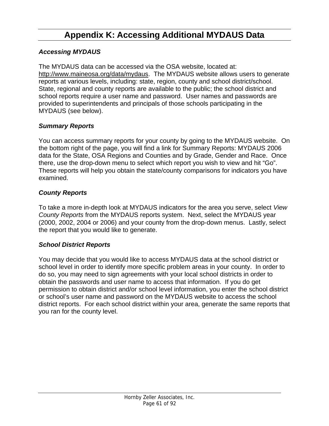# **Appendix K: Accessing Additional MYDAUS Data**

### *Accessing MYDAUS*

The MYDAUS data can be accessed via the OSA website, located at: http://www.maineosa.org/data/mydaus. The MYDAUS website allows users to generate reports at various levels, including: state, region, county and school district/school. State, regional and county reports are available to the public; the school district and school reports require a user name and password. User names and passwords are provided to superintendents and principals of those schools participating in the MYDAUS (see below).

### *Summary Reports*

You can access summary reports for your county by going to the MYDAUS website. On the bottom right of the page, you will find a link for Summary Reports: MYDAUS 2006 data for the State, OSA Regions and Counties and by Grade, Gender and Race. Once there, use the drop-down menu to select which report you wish to view and hit "Go". These reports will help you obtain the state/county comparisons for indicators you have examined.

### *County Reports*

To take a more in-depth look at MYDAUS indicators for the area you serve, select *View County Reports* from the MYDAUS reports system. Next, select the MYDAUS year (2000, 2002, 2004 or 2006) and your county from the drop-down menus. Lastly, select the report that you would like to generate.

### *School District Reports*

You may decide that you would like to access MYDAUS data at the school district or school level in order to identify more specific problem areas in your county. In order to do so, you may need to sign agreements with your local school districts in order to obtain the passwords and user name to access that information. If you do get permission to obtain district and/or school level information, you enter the school district or school's user name and password on the MYDAUS website to access the school district reports. For each school district within your area, generate the same reports that you ran for the county level.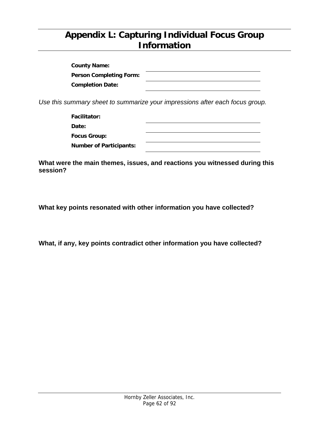## **Appendix L: Capturing Individual Focus Group Information**

| <b>County Name:</b>            |  |
|--------------------------------|--|
| <b>Person Completing Form:</b> |  |
| <b>Completion Date:</b>        |  |

*Use this summary sheet to summarize your impressions after each focus group.* 

**Facilitator: Date:** 

**Focus Group:** 

**Number of Participants:** 

**What were the main themes, issues, and reactions you witnessed during this session?** 

**What key points resonated with other information you have collected?** 

**What, if any, key points contradict other information you have collected?**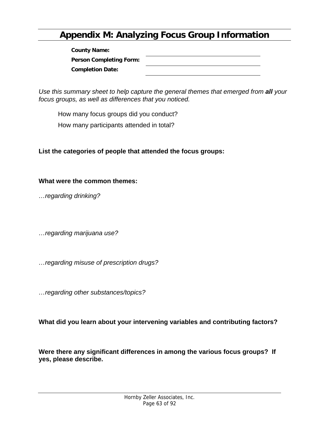# **Appendix M: Analyzing Focus Group Information**

| <b>County Name:</b>            |  |
|--------------------------------|--|
| <b>Person Completing Form:</b> |  |
| <b>Completion Date:</b>        |  |

*Use this summary sheet to help capture the general themes that emerged from all your focus groups, as well as differences that you noticed.* 

How many focus groups did you conduct?

How many participants attended in total?

**List the categories of people that attended the focus groups:** 

**What were the common themes:** 

*…regarding drinking?* 

*…regarding marijuana use?* 

*…regarding misuse of prescription drugs?* 

*…regarding other substances/topics?* 

**What did you learn about your intervening variables and contributing factors?** 

**Were there any significant differences in among the various focus groups? If yes, please describe.**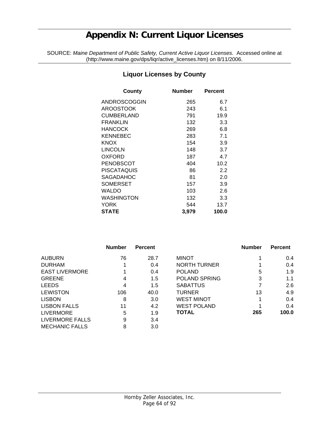# **Appendix N: Current Liquor Licenses**

SOURCE: *Maine Department of Public Safety, Current Active Liquor Licenses.* Accessed online at (http://www.maine.gov/dps/liqr/active\_licenses.htm) on 8/11/2006.

#### **Liquor Licenses by County**

| <b>Number</b> | <b>Percent</b> |
|---------------|----------------|
| 265           | 6.7            |
| 243           | 6.1            |
| 791           | 19.9           |
| 132           | 3.3            |
| 269           | 6.8            |
| 283           | 7.1            |
| 154           | 3.9            |
| 148           | 3.7            |
| 187           | 4.7            |
| 404           | 10.2           |
| 86            | 2.2            |
| 81            | 2.0            |
| 157           | 3.9            |
| 103           | 2.6            |
| 132           | 3.3            |
| 544           | 13.7           |
| 3,979         | 100.0          |
|               |                |

|                       | <b>Number</b> | <b>Percent</b> |                     | <b>Number</b> | <b>Percent</b> |
|-----------------------|---------------|----------------|---------------------|---------------|----------------|
| <b>AUBURN</b>         | 76            | 28.7           | <b>MINOT</b>        |               | $0.4^{\circ}$  |
| <b>DURHAM</b>         |               | 0.4            | <b>NORTH TURNER</b> |               | 0.4            |
| <b>EAST LIVERMORE</b> |               | 0.4            | <b>POLAND</b>       | 5             | 1.9            |
| <b>GREENE</b>         | 4             | 1.5            | POLAND SPRING       | 3             | 1.1            |
| <b>LEEDS</b>          | 4             | 1.5            | <b>SABATTUS</b>     | 7             | 2.6            |
| <b>LEWISTON</b>       | 106           | 40.0           | TURNER              | 13            | 4.9            |
| <b>LISBON</b>         | 8             | 3.0            | <b>WEST MINOT</b>   |               | 0.4            |
| <b>LISBON FALLS</b>   | 11            | 4.2            | <b>WEST POLAND</b>  |               | 0.4            |
| <b>LIVERMORE</b>      | 5             | 1.9            | <b>TOTAL</b>        | 265           | 100.0          |
| LIVERMORE FALLS       | 9             | 3.4            |                     |               |                |
| <b>MECHANIC FALLS</b> | 8             | 3.0            |                     |               |                |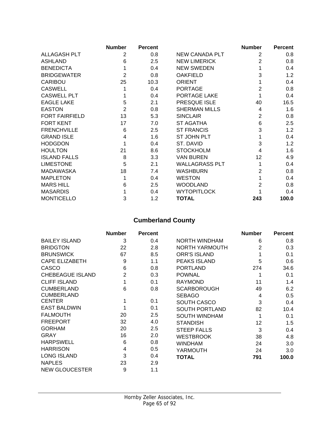|                       | <b>Number</b>  | <b>Percent</b> |                       | <b>Number</b>  | <b>Percent</b> |
|-----------------------|----------------|----------------|-----------------------|----------------|----------------|
| ALLAGASH PLT          | 2              | 0.8            | <b>NEW CANADA PLT</b> | 2              | 0.8            |
| <b>ASHLAND</b>        | 6              | 2.5            | <b>NEW LIMERICK</b>   | 2              | 0.8            |
| <b>BENEDICTA</b>      |                | 0.4            | <b>NEW SWEDEN</b>     |                | 0.4            |
| <b>BRIDGEWATER</b>    | 2              | 0.8            | <b>OAKFIELD</b>       | 3              | 1.2            |
| CARIBOU               | 25             | 10.3           | <b>ORIENT</b>         |                | 0.4            |
| <b>CASWELL</b>        |                | 0.4            | <b>PORTAGE</b>        | 2              | 0.8            |
| <b>CASWELL PLT</b>    |                | 0.4            | PORTAGE LAKE          |                | 0.4            |
| <b>EAGLE LAKE</b>     | 5              | 2.1            | PRESQUE ISLE          | 40             | 16.5           |
| <b>EASTON</b>         | $\overline{2}$ | 0.8            | <b>SHERMAN MILLS</b>  | 4              | 1.6            |
| <b>FORT FAIRFIELD</b> | 13             | 5.3            | <b>SINCLAIR</b>       | 2              | 0.8            |
| <b>FORT KENT</b>      | 17             | 7.0            | ST AGATHA             | 6              | 2.5            |
| <b>FRENCHVILLE</b>    | 6              | 2.5            | <b>ST FRANCIS</b>     | 3              | 1.2            |
| <b>GRAND ISLE</b>     | 4              | 1.6            | ST JOHN PLT           |                | 0.4            |
| <b>HODGDON</b>        | 1              | 0.4            | ST. DAVID             | 3              | 1.2            |
| <b>HOULTON</b>        | 21             | 8.6            | <b>STOCKHOLM</b>      | 4              | 1.6            |
| <b>ISLAND FALLS</b>   | 8              | 3.3            | <b>VAN BUREN</b>      | 12             | 4.9            |
| <b>LIMESTONE</b>      | 5              | 2.1            | <b>WALLAGRASS PLT</b> |                | 0.4            |
| <b>MADAWASKA</b>      | 18             | 7.4            | <b>WASHBURN</b>       | $\overline{2}$ | 0.8            |
| <b>MAPLETON</b>       |                | 0.4            | <b>WESTON</b>         |                | 0.4            |
| <b>MARS HILL</b>      | 6              | 2.5            | <b>WOODLAND</b>       | $\overline{2}$ | 0.8            |
| <b>MASARDIS</b>       |                | 0.4            | <b>WYTOPITLOCK</b>    |                | 0.4            |
| <b>MONTICELLO</b>     | 3              | 1.2            | <b>TOTAL</b>          | 243            | 100.0          |

## **Cumberland County**

|                         | <b>Number</b>  | <b>Percent</b> |                       | <b>Number</b> | <b>Percent</b> |
|-------------------------|----------------|----------------|-----------------------|---------------|----------------|
| <b>BAILEY ISLAND</b>    | 3              | 0.4            | NORTH WINDHAM         | 6             | 0.8            |
| <b>BRIDGTON</b>         | 22             | 2.8            | <b>NORTH YARMOUTH</b> | 2             | 0.3            |
| <b>BRUNSWICK</b>        | 67             | 8.5            | <b>ORR'S ISLAND</b>   | 1             | 0.1            |
| <b>CAPE ELIZABETH</b>   | 9              | 1.1            | <b>PEAKS ISLAND</b>   | 5             | 0.6            |
| CASCO                   | 6              | 0.8            | <b>PORTLAND</b>       | 274           | 34.6           |
| <b>CHEBEAGUE ISLAND</b> | $\overline{2}$ | 0.3            | <b>POWNAL</b>         | 1             | 0.1            |
| <b>CLIFF ISLAND</b>     | 1              | 0.1            | <b>RAYMOND</b>        | 11            | 1.4            |
| <b>CUMBERLAND</b>       | 6              | 0.8            | <b>SCARBOROUGH</b>    | 49            | 6.2            |
| <b>CUMBERLAND</b>       |                |                | <b>SEBAGO</b>         | 4             | 0.5            |
| <b>CENTER</b>           | 1              | 0.1            | <b>SOUTH CASCO</b>    | 3             | 0.4            |
| <b>EAST BALDWIN</b>     | 1              | 0.1            | <b>SOUTH PORTLAND</b> | 82            | 10.4           |
| <b>FALMOUTH</b>         | 20             | 2.5            | SOUTH WINDHAM         | 1             | 0.1            |
| <b>FREEPORT</b>         | 32             | 4.0            | <b>STANDISH</b>       | 12            | 1.5            |
| <b>GORHAM</b>           | 20             | 2.5            | <b>STEEP FALLS</b>    | 3             | 0.4            |
| <b>GRAY</b>             | 16             | 2.0            | <b>WESTBROOK</b>      | 38            | 4.8            |
| <b>HARPSWELL</b>        | 6              | 0.8            | <b>WINDHAM</b>        | 24            | 3.0            |
| <b>HARRISON</b>         | 4              | 0.5            | YARMOUTH              | 24            | 3.0            |
| <b>LONG ISLAND</b>      | 3              | 0.4            | <b>TOTAL</b>          | 791           | 100.0          |
| <b>NAPLES</b>           | 23             | 2.9            |                       |               |                |
| <b>NEW GLOUCESTER</b>   | 9              | 1.1            |                       |               |                |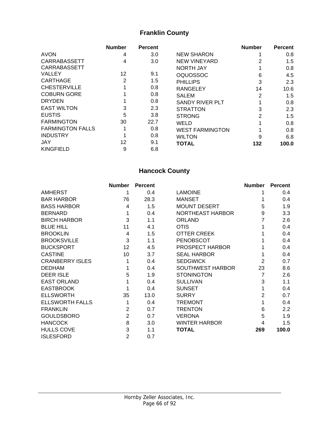## **Franklin County**

|                         | <b>Number</b>  | <b>Percent</b> |                        | <b>Number</b>  | <b>Percent</b> |
|-------------------------|----------------|----------------|------------------------|----------------|----------------|
| <b>AVON</b>             | 4              | 3.0            | <b>NEW SHARON</b>      |                | 0.8            |
| <b>CARRABASSETT</b>     | 4              | 3.0            | <b>NEW VINEYARD</b>    |                | 1.5            |
| <b>CARRABASSETT</b>     |                |                | <b>NORTH JAY</b>       |                | 0.8            |
| <b>VALLEY</b>           | 12             | 9.1            | <b>OQUOSSOC</b>        | 6              | 4.5            |
| <b>CARTHAGE</b>         | $\overline{2}$ | 1.5            | <b>PHILLIPS</b>        | 3              | 2.3            |
| <b>CHESTERVILLE</b>     |                | 0.8            | <b>RANGELEY</b>        | 14             | 10.6           |
| <b>COBURN GORE</b>      |                | 0.8            | <b>SALEM</b>           | $\overline{2}$ | 1.5            |
| <b>DRYDEN</b>           |                | 0.8            | <b>SANDY RIVER PLT</b> |                | 0.8            |
| <b>EAST WILTON</b>      | 3              | 2.3            | <b>STRATTON</b>        | 3              | 2.3            |
| <b>EUSTIS</b>           | 5              | 3.8            | <b>STRONG</b>          | $\overline{2}$ | 1.5            |
| <b>FARMINGTON</b>       | 30             | 22.7           | WELD                   |                | 0.8            |
| <b>FARMINGTON FALLS</b> | 1              | 0.8            | <b>WEST FARMINGTON</b> |                | 0.8            |
| <b>INDUSTRY</b>         |                | 0.8            | <b>WILTON</b>          | 9              | 6.8            |
| <b>JAY</b>              | 12             | 9.1            | <b>TOTAL</b>           | 132            | 100.0          |
| <b>KINGFIELD</b>        | 9              | 6.8            |                        |                |                |

## **Hancock County**

|                        | <b>Number</b>  | <b>Percent</b> |                         | <b>Number</b>  | <b>Percent</b>   |
|------------------------|----------------|----------------|-------------------------|----------------|------------------|
| <b>AMHERST</b>         | 1              | 0.4            | <b>LAMOINE</b>          |                | 0.4              |
| <b>BAR HARBOR</b>      | 76             | 28.3           | <b>MANSET</b>           |                | 0.4              |
| <b>BASS HARBOR</b>     | 4              | 1.5            | <b>MOUNT DESERT</b>     | 5              | 1.9              |
| <b>BERNARD</b>         | 1              | 0.4            | <b>NORTHEAST HARBOR</b> | 9              | 3.3              |
| <b>BIRCH HARBOR</b>    | 3              | 1.1            | <b>ORLAND</b>           | 7              | 2.6              |
| <b>BLUE HILL</b>       | 11             | 4.1            | <b>OTIS</b>             |                | 0.4              |
| <b>BROOKLIN</b>        | $\overline{4}$ | 1.5            | <b>OTTER CREEK</b>      |                | 0.4              |
| <b>BROOKSVILLE</b>     | 3              | 1.1            | <b>PENOBSCOT</b>        |                | 0.4              |
| <b>BUCKSPORT</b>       | 12             | 4.5            | PROSPECT HARBOR         |                | 0.4              |
| <b>CASTINE</b>         | 10             | 3.7            | <b>SEAL HARBOR</b>      |                | 0.4              |
| <b>CRANBERRY ISLES</b> |                | 0.4            | <b>SEDGWICK</b>         | 2              | 0.7              |
| <b>DEDHAM</b>          |                | 0.4            | <b>SOUTHWEST HARBOR</b> | 23             | 8.6              |
| <b>DEER ISLE</b>       | 5              | 1.9            | <b>STONINGTON</b>       | 7              | 2.6              |
| <b>EAST ORLAND</b>     |                | 0.4            | <b>SULLIVAN</b>         | 3              | 1.1              |
| <b>EASTBROOK</b>       |                | 0.4            | <b>SUNSET</b>           | 1              | 0.4              |
| <b>ELLSWORTH</b>       | 35             | 13.0           | <b>SURRY</b>            | $\overline{2}$ | 0.7              |
| <b>ELLSWORTH FALLS</b> |                | 0.4            | <b>TREMONT</b>          |                | 0.4              |
| <b>FRANKLIN</b>        | $\overline{2}$ | 0.7            | <b>TRENTON</b>          | 6              | $2.2\phantom{0}$ |
| <b>GOULDSBORO</b>      | $\overline{2}$ | 0.7            | <b>VERONA</b>           | 5              | 1.9              |
| <b>HANCOCK</b>         | 8              | 3.0            | <b>WINTER HARBOR</b>    | 4              | 1.5              |
| <b>HULLS COVE</b>      | 3              | 1.1            | <b>TOTAL</b>            | 269            | 100.0            |
| <b>ISLESFORD</b>       | $\overline{2}$ | 0.7            |                         |                |                  |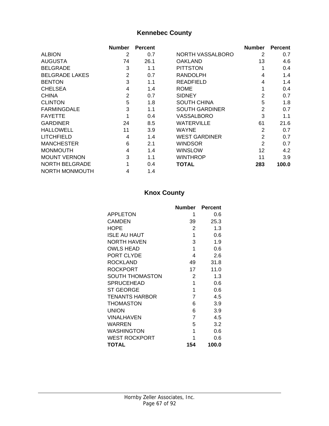## **Kennebec County**

|                       | <b>Number</b>  | <b>Percent</b> |                       | <b>Number</b>  | <b>Percent</b> |
|-----------------------|----------------|----------------|-----------------------|----------------|----------------|
| <b>ALBION</b>         | 2              | 0.7            | NORTH VASSALBORO      | 2              | 0.7            |
| AUGUSTA               | 74             | 26.1           | <b>OAKLAND</b>        | 13             | 4.6            |
| <b>BELGRADE</b>       | 3              | 1.1            | <b>PITTSTON</b>       |                | 0.4            |
| <b>BELGRADE LAKES</b> | $\overline{2}$ | 0.7            | <b>RANDOLPH</b>       | 4              | 1.4            |
| <b>BENTON</b>         | 3              | 1.1            | <b>READFIELD</b>      | 4              | 1.4            |
| <b>CHELSEA</b>        | 4              | 1.4            | <b>ROME</b>           |                | 0.4            |
| <b>CHINA</b>          | $\overline{2}$ | 0.7            | <b>SIDNEY</b>         | $\overline{2}$ | 0.7            |
| <b>CLINTON</b>        | 5              | 1.8            | <b>SOUTH CHINA</b>    | 5              | 1.8            |
| <b>FARMINGDALE</b>    | 3              | 1.1            | <b>SOUTH GARDINER</b> | $\overline{2}$ | 0.7            |
| <b>FAYETTE</b>        |                | 0.4            | VASSALBORO            | 3              | 1.1            |
| <b>GARDINER</b>       | 24             | 8.5            | <b>WATERVILLE</b>     | 61             | 21.6           |
| <b>HALLOWELL</b>      | 11             | 3.9            | <b>WAYNE</b>          | $\overline{2}$ | 0.7            |
| <b>LITCHFIELD</b>     | 4              | 1.4            | <b>WEST GARDINER</b>  | $\overline{2}$ | 0.7            |
| <b>MANCHESTER</b>     | 6              | 2.1            | <b>WINDSOR</b>        | $\overline{2}$ | 0.7            |
| <b>MONMOUTH</b>       | 4              | 1.4            | <b>WINSLOW</b>        | 12             | 4.2            |
| <b>MOUNT VERNON</b>   | 3              | 1.1            | <b>WINTHROP</b>       | 11             | 3.9            |
| <b>NORTH BELGRADE</b> |                | 0.4            | <b>TOTAL</b>          | 283            | 100.0          |
| NORTH MONMOUTH        | 4              | 1.4            |                       |                |                |

## **Knox County**

|                       | <b>Number</b>  | <b>Percent</b> |
|-----------------------|----------------|----------------|
| <b>APPLETON</b>       | 1              | 0.6            |
| CAMDEN                | 39             | 25.3           |
| <b>HOPE</b>           | 2              | 1.3            |
| <b>ISLE AU HAUT</b>   | 1              | 0.6            |
| NORTH HAVEN           | 3              | 1.9            |
| <b>OWLS HEAD</b>      | 1              | 0.6            |
| PORT CLYDE            | 4              | 2.6            |
| <b>ROCKLAND</b>       | 49             | 31.8           |
| <b>ROCKPORT</b>       | 17             | 11.0           |
| SOUTH THOMASTON       | $\overline{2}$ | 1.3            |
| <b>SPRUCEHEAD</b>     | 1              | 0.6            |
| <b>ST GEORGE</b>      | 1              | 0.6            |
| <b>TENANTS HARBOR</b> | 7              | 4.5            |
| <b>THOMASTON</b>      | 6              | 3.9            |
| <b>UNION</b>          | 6              | 3.9            |
| VINALHAVEN            | $\overline{7}$ | 4.5            |
| WARREN                | 5              | 3.2            |
| WASHINGTON            | 1              | 0.6            |
| <b>WEST ROCKPORT</b>  | 1              | 0.6            |
| <b>TOTAL</b>          | 154            | 100.0          |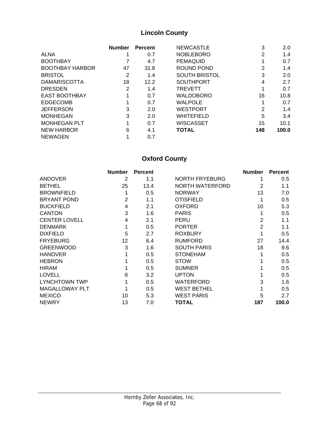## **Lincoln County**

|                        | <b>Number</b> | <b>Percent</b> | <b>NEWCASTLE</b>     | 3   | 2.0   |
|------------------------|---------------|----------------|----------------------|-----|-------|
| <b>ALNA</b>            |               | 0.7            | <b>NOBLEBORO</b>     | 2   | 1.4   |
| <b>BOOTHBAY</b>        |               | 4.7            | <b>PEMAQUID</b>      |     | 0.7   |
| <b>BOOTHBAY HARBOR</b> | 47            | 31.8           | ROUND POND           | 2   | 1.4   |
| <b>BRISTOL</b>         | 2             | 1.4            | <b>SOUTH BRISTOL</b> | 3   | 2.0   |
| <b>DAMARISCOTTA</b>    | 18            | 12.2           | <b>SOUTHPORT</b>     | 4   | 2.7   |
| <b>DRESDEN</b>         | 2             | 1.4            | <b>TREVETT</b>       | 1   | 0.7   |
| <b>EAST BOOTHBAY</b>   |               | 0.7            | <b>WALDOBORO</b>     | 16  | 10.8  |
| <b>EDGECOMB</b>        |               | 0.7            | <b>WALPOLE</b>       |     | 0.7   |
| <b>JEFFERSON</b>       | 3             | 2.0            | <b>WESTPORT</b>      | 2   | 1.4   |
| <b>MONHEGAN</b>        | 3             | 2.0            | <b>WHITEFIELD</b>    | 5   | 3.4   |
| <b>MONHEGAN PLT</b>    |               | 0.7            | <b>WISCASSET</b>     | 15  | 10.1  |
| <b>NEW HARBOR</b>      | 6             | 4.1            | <b>TOTAL</b>         | 148 | 100.0 |
| <b>NEWAGEN</b>         |               | 0.7            |                      |     |       |

## **Oxford County**

|                       | <b>Number</b> | <b>Percent</b> |                       | <b>Number</b> | <b>Percent</b> |
|-----------------------|---------------|----------------|-----------------------|---------------|----------------|
| <b>ANDOVER</b>        | 2             | 1.1            | <b>NORTH FRYEBURG</b> |               | 0.5            |
| <b>BETHEL</b>         | 25            | 13.4           | NORTH WATERFORD       | 2             | 1.1            |
| <b>BROWNFIELD</b>     |               | 0.5            | <b>NORWAY</b>         | 13            | 7.0            |
| <b>BRYANT POND</b>    | 2             | 1.1            | <b>OTISFIELD</b>      |               | 0.5            |
| <b>BUCKFIELD</b>      | 4             | 2.1            | <b>OXFORD</b>         | 10            | 5.3            |
| <b>CANTON</b>         | 3             | 1.6            | <b>PARIS</b>          |               | 0.5            |
| <b>CENTER LOVELL</b>  | 4             | 2.1            | <b>PERU</b>           | 2             | 1.1            |
| <b>DENMARK</b>        |               | 0.5            | <b>PORTER</b>         | 2             | 1.1            |
| <b>DIXFIELD</b>       | 5             | 2.7            | <b>ROXBURY</b>        |               | 0.5            |
| <b>FRYEBURG</b>       | 12            | 6.4            | <b>RUMFORD</b>        | 27            | 14.4           |
| <b>GREENWOOD</b>      | 3             | 1.6            | <b>SOUTH PARIS</b>    | 18            | 9.6            |
| <b>HANOVER</b>        | 1             | 0.5            | <b>STONEHAM</b>       |               | 0.5            |
| <b>HEBRON</b>         |               | 0.5            | <b>STOW</b>           |               | 0.5            |
| <b>HIRAM</b>          |               | 0.5            | <b>SUMNER</b>         |               | 0.5            |
| <b>LOVELL</b>         | 6             | 3.2            | <b>UPTON</b>          |               | 0.5            |
| <b>LYNCHTOWN TWP</b>  |               | 0.5            | WATERFORD             | 3             | 1.6            |
| <b>MAGALLOWAY PLT</b> |               | 0.5            | <b>WEST BETHEL</b>    |               | 0.5            |
| <b>MEXICO</b>         | 10            | 5.3            | <b>WEST PARIS</b>     | 5             | 2.7            |
| <b>NEWRY</b>          | 13            | 7.0            | TOTAL                 | 187           | 100.0          |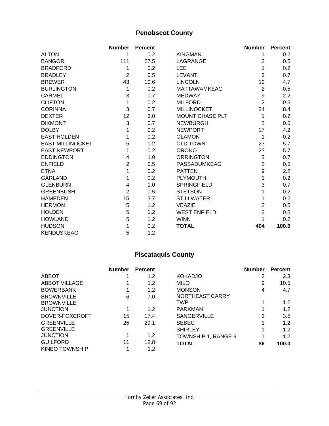### **Penobscot County**

|                         | <b>Number</b>  | <b>Percent</b> |                        | <b>Number</b>    | <b>Percent</b>   |
|-------------------------|----------------|----------------|------------------------|------------------|------------------|
| <b>ALTON</b>            | 1              | 0.2            | <b>KINGMAN</b>         | 1                | 0.2              |
| <b>BANGOR</b>           | 111            | 27.5           | LAGRANGE               | $\overline{2}$   | 0.5              |
| <b>BRADFORD</b>         | 1              | 0.2            | <b>LEE</b>             | 1                | 0.2              |
| <b>BRADLEY</b>          | $\overline{2}$ | 0.5            | <b>LEVANT</b>          | 3                | 0.7              |
| <b>BREWER</b>           | 43             | 10.6           | <b>LINCOLN</b>         | 19               | 4.7              |
| <b>BURLINGTON</b>       | 1              | 0.2            | <b>MATTAWAMKEAG</b>    | $\overline{2}$   | 0.5              |
| <b>CARMEL</b>           | 3              | 0.7            | <b>MEDWAY</b>          | $\boldsymbol{9}$ | 2.2              |
| <b>CLIFTON</b>          | 1              | 0.2            | <b>MILFORD</b>         | $\overline{2}$   | 0.5              |
| <b>CORINNA</b>          | 3              | 0.7            | <b>MILLINOCKET</b>     | 34               | 8.4              |
| <b>DEXTER</b>           | 12             | 3.0            | <b>MOUNT CHASE PLT</b> | 1                | 0.2              |
| <b>DIXMONT</b>          | 3              | 0.7            | <b>NEWBURGH</b>        | $\overline{2}$   | 0.5              |
| <b>DOLBY</b>            | 1              | 0.2            | <b>NEWPORT</b>         | 17               | 4.2              |
| <b>EAST HOLDEN</b>      | 1              | 0.2            | <b>OLAMON</b>          | 1                | 0.2              |
| <b>EAST MILLINOCKET</b> | 5              | 1.2            | <b>OLD TOWN</b>        | 23               | 5.7              |
| <b>EAST NEWPORT</b>     | 1              | 0.2            | <b>ORONO</b>           | 23               | 5.7              |
| <b>EDDINGTON</b>        | $\overline{4}$ | 1.0            | <b>ORRINGTON</b>       | $\mathfrak{S}$   | 0.7              |
| <b>ENFIELD</b>          | $\overline{2}$ | 0.5            | PASSADUMKEAG           | $\overline{2}$   | 0.5              |
| <b>ETNA</b>             | 1              | 0.2            | <b>PATTEN</b>          | $\boldsymbol{9}$ | $2.2\phantom{0}$ |
| <b>GARLAND</b>          | 1              | 0.2            | <b>PLYMOUTH</b>        | 1                | 0.2              |
| <b>GLENBURN</b>         | 4              | 1.0            | <b>SPRINGFIELD</b>     | 3                | 0.7              |
| <b>GREENBUSH</b>        | $\overline{2}$ | 0.5            | <b>STETSON</b>         | 1                | 0.2              |
| <b>HAMPDEN</b>          | 15             | 3.7            | <b>STILLWATER</b>      | 1                | 0.2              |
| <b>HERMON</b>           | 5              | 1.2            | <b>VEAZIE</b>          | $\overline{2}$   | 0.5              |
| <b>HOLDEN</b>           | 5              | 1.2            | <b>WEST ENFIELD</b>    | $\overline{2}$   | 0.5              |
| <b>HOWLAND</b>          | 5              | 1.2            | <b>WINN</b>            |                  | 0.2              |
| <b>HUDSON</b>           | 1              | 0.2            | <b>TOTAL</b>           | 404              | 100.0            |
| <b>KENDUSKEAG</b>       | 5              | 1.2            |                        |                  |                  |

## **Piscataquis County**

|                   | <b>Number</b> | <b>Percent</b> |                     | <b>Number</b> | <b>Percent</b> |
|-------------------|---------------|----------------|---------------------|---------------|----------------|
| ABBOT             |               | 1.2            | <b>KOKADJO</b>      | 2             | 2.3            |
| ABBOT VILLAGE     |               | 1.2            | <b>MILO</b>         | 9             | 10.5           |
| <b>BOWERBANK</b>  |               | 1.2            | <b>MONSON</b>       | 4             | 4.7            |
| <b>BROWNVILLE</b> | 6             | 7.0            | NORTHEAST CARRY     |               |                |
| <b>BROWNVILLE</b> |               |                | TWP                 |               | 1.2            |
| <b>JUNCTION</b>   |               | 1.2            | <b>PARKMAN</b>      |               | 1.2            |
| DOVER-FOXCROFT    | 15            | 17.4           | <b>SANGERVILLE</b>  | 3             | 3.5            |
| <b>GREENVILLE</b> | 25            | 29.1           | <b>SEBEC</b>        | 1             | 1.2            |
| <b>GREENVILLE</b> |               |                | <b>SHIRLEY</b>      |               | 1.2            |
| <b>JUNCTION</b>   |               | 1.2            | TOWNSHIP 1, RANGE 9 |               | 1.2            |
| <b>GUILFORD</b>   | 11            | 12.8           | <b>TOTAL</b>        | 86            | 100.0          |
| KINEO TOWNSHIP    |               | 1.2            |                     |               |                |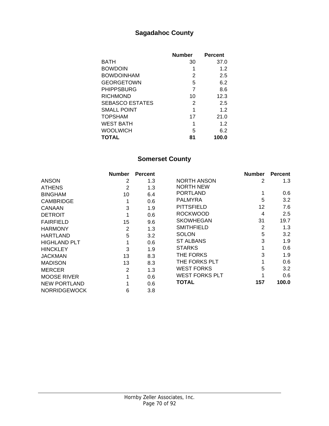#### **Sagadahoc County**

|                        | <b>Number</b> | <b>Percent</b> |
|------------------------|---------------|----------------|
| BATH                   | 30            | 37.0           |
| <b>BOWDOIN</b>         | 1             | 1.2            |
| <b>BOWDOINHAM</b>      | 2             | 2.5            |
| GEORGETOWN             | 5             | 6.2            |
| <b>PHIPPSBURG</b>      | 7             | 8.6            |
| RICHMOND               | 10            | 12.3           |
| <b>SEBASCO ESTATES</b> | 2             | 2.5            |
| SMALL POINT            | 1             | 1.2            |
| TOPSHAM                | 17            | 21.0           |
| WEST BATH              | 1             | 1.2            |
| <b>WOOLWICH</b>        | 5             | 6.2            |
| TOTAL                  | 81            | 100.0          |

#### **Somerset County**

|                     | <b>Number</b>  | <b>Percent</b> |                       | <b>Number</b>  | <b>Percent</b> |
|---------------------|----------------|----------------|-----------------------|----------------|----------------|
| <b>ANSON</b>        | 2              | 1.3            | NORTH ANSON           | 2              | 1.3            |
| <b>ATHENS</b>       | $\overline{2}$ | 1.3            | <b>NORTH NEW</b>      |                |                |
| <b>BINGHAM</b>      | 10             | 6.4            | <b>PORTLAND</b>       |                | 0.6            |
| <b>CAMBRIDGE</b>    |                | 0.6            | <b>PALMYRA</b>        | 5              | 3.2            |
| CANAAN              | 3              | 1.9            | <b>PITTSFIELD</b>     | 12             | 7.6            |
| <b>DETROIT</b>      |                | 0.6            | <b>ROCKWOOD</b>       | 4              | 2.5            |
| <b>FAIRFIELD</b>    | 15             | 9.6            | <b>SKOWHEGAN</b>      | 31             | 19.7           |
| <b>HARMONY</b>      | $\overline{2}$ | 1.3            | <b>SMITHFIELD</b>     | $\overline{2}$ | 1.3            |
| <b>HARTLAND</b>     | 5              | 3.2            | <b>SOLON</b>          | 5              | 3.2            |
| <b>HIGHLAND PLT</b> |                | 0.6            | <b>ST ALBANS</b>      | 3              | 1.9            |
| <b>HINCKLEY</b>     | 3              | 1.9            | <b>STARKS</b>         |                | 0.6            |
| <b>JACKMAN</b>      | 13             | 8.3            | THE FORKS             | 3              | 1.9            |
| <b>MADISON</b>      | 13             | 8.3            | THE FORKS PLT         |                | 0.6            |
| <b>MERCER</b>       | 2              | 1.3            | <b>WEST FORKS</b>     | 5              | 3.2            |
| <b>MOOSE RIVER</b>  |                | 0.6            | <b>WEST FORKS PLT</b> |                | 0.6            |
| <b>NEW PORTLAND</b> |                | 0.6            | <b>TOTAL</b>          | 157            | 100.0          |
| <b>NORRIDGEWOCK</b> | 6              | 3.8            |                       |                |                |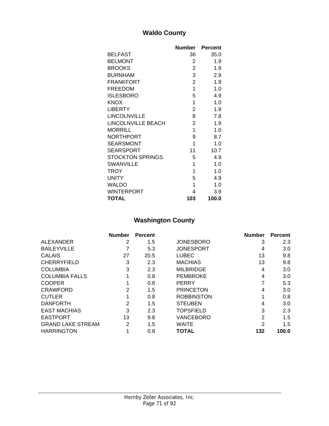#### **Waldo County**

|                           | <b>Number</b>  | <b>Percent</b> |
|---------------------------|----------------|----------------|
| <b>BELFAST</b>            | 36             | 35.0           |
| <b>BELMONT</b>            | 2              | 1.9            |
| <b>BROOKS</b>             | $\overline{c}$ | 1.9            |
| <b>BURNHAM</b>            | 3              | 2.9            |
| <b>FRANKFORT</b>          | $\overline{2}$ | 1.9            |
| <b>FREEDOM</b>            | 1              | 1.0            |
| <b>ISLESBORO</b>          | 5              | 4.9            |
| <b>KNOX</b>               | 1              | 1.0            |
| <b>LIBERTY</b>            | $\overline{2}$ | 1.9            |
| LINCOLNVILLE              | 8              | 7.8            |
| <b>LINCOLNVILLE BEACH</b> | $\overline{2}$ | 1.9            |
| <b>MORRILL</b>            | 1              | 1.0            |
| <b>NORTHPORT</b>          | 9              | 8.7            |
| <b>SEARSMONT</b>          | 1              | 1.0            |
| <b>SEARSPORT</b>          | 11             | 10.7           |
| <b>STOCKTON SPRINGS</b>   | 5              | 4.9            |
| <b>SWANVILLE</b>          | 1              | 1.0            |
| <b>TROY</b>               | 1              | 1.0            |
| <b>UNITY</b>              | 5              | 4.9            |
| <b>WALDO</b>              | 1              | 1.0            |
| <b>WINTERPORT</b>         | 4              | 3.9            |
| <b>TOTAL</b>              | 103            | 100.0          |

## **Washington County**

|                          | <b>Number</b> | <b>Percent</b> |                   | <b>Number</b> | <b>Percent</b> |
|--------------------------|---------------|----------------|-------------------|---------------|----------------|
| ALEXANDER                | 2             | 1.5            | <b>JONESBORO</b>  | 3             | 2.3            |
| <b>BAILEYVILLE</b>       |               | 5.3            | <b>JONESPORT</b>  | 4             | 3.0            |
| <b>CALAIS</b>            | 27            | 20.5           | <b>LUBEC</b>      | 13            | 9.8            |
| <b>CHERRYFIELD</b>       | 3             | 2.3            | <b>MACHIAS</b>    | 13            | 9.8            |
| <b>COLUMBIA</b>          | 3             | 2.3            | <b>MILBRIDGE</b>  | 4             | 3.0            |
| <b>COLUMBIA FALLS</b>    |               | 0.8            | <b>PEMBROKE</b>   | 4             | 3.0            |
| <b>COOPER</b>            |               | 0.8            | <b>PERRY</b>      | 7             | 5.3            |
| <b>CRAWFORD</b>          | 2             | 1.5            | <b>PRINCETON</b>  | 4             | 3.0            |
| <b>CUTLER</b>            |               | 0.8            | <b>ROBBINSTON</b> |               | 0.8            |
| <b>DANFORTH</b>          | 2             | 1.5            | <b>STEUBEN</b>    | 4             | 3.0            |
| <b>EAST MACHIAS</b>      | 3             | 2.3            | <b>TOPSFIELD</b>  | 3             | 2.3            |
| <b>EASTPORT</b>          | 13            | 9.8            | VANCEBORO         | 2             | 1.5            |
| <b>GRAND LAKE STREAM</b> | 2             | 1.5            | WAITE             | 2             | 1.5            |
| <b>HARRINGTON</b>        |               | 0.8            | <b>TOTAL</b>      | 132           | 100.0          |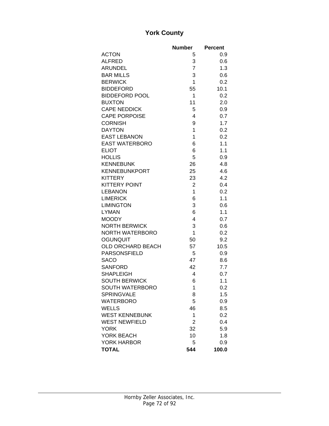#### **York County**

|                                    | <b>Number</b>  | <b>Percent</b> |
|------------------------------------|----------------|----------------|
| <b>ACTON</b>                       | 5              | 0.9            |
| <b>ALFRED</b>                      | 3              | 0.6            |
| <b>ARUNDEL</b>                     | $\overline{7}$ | 1.3            |
| <b>BAR MILLS</b>                   | 3              | 0.6            |
| <b>BERWICK</b>                     | 1              | 0.2            |
| <b>BIDDEFORD</b>                   | 55             | 10.1           |
| <b>BIDDEFORD POOL</b>              | 1              | 0.2            |
| <b>BUXTON</b>                      | 11             | 2.0            |
| <b>CAPE NEDDICK</b>                | 5              | 0.9            |
| <b>CAPE PORPOISE</b>               | 4              | 0.7            |
| <b>CORNISH</b>                     | 9              | 1.7            |
| <b>DAYTON</b>                      | $\mathbf{1}$   | 0.2            |
| <b>EAST LEBANON</b>                | 1              | 0.2            |
| <b>EAST WATERBORO</b>              | 6              | 1.1            |
| <b>ELIOT</b>                       | 6              | 1.1            |
| <b>HOLLIS</b>                      | 5              | 0.9            |
| <b>KENNEBUNK</b>                   | 26             | 4.8            |
| <b>KENNEBUNKPORT</b>               | 25             | 4.6            |
| <b>KITTERY</b>                     | 23             | 4.2            |
| <b>KITTERY POINT</b>               | $\overline{2}$ | 0.4            |
| <b>LEBANON</b>                     | 1              | 0.2            |
| <b>LIMERICK</b>                    | 6              | 1.1            |
| <b>LIMINGTON</b>                   | 3              | 0.6            |
| <b>LYMAN</b>                       | 6              | 1.1            |
| <b>MOODY</b>                       | 4              | 0.7            |
| <b>NORTH BERWICK</b>               | 3              | 0.6            |
| NORTH WATERBORO                    | 1              | 0.2            |
| <b>OGUNQUIT</b>                    | 50             | 9.2            |
| OLD ORCHARD BEACH                  | 57             | 10.5           |
| <b>PARSONSFIELD</b>                | 5              | 0.9            |
| <b>SACO</b>                        | 47             | 8.6            |
| <b>SANFORD</b>                     | 42             | 7.7            |
| <b>SHAPLEIGH</b>                   | 4              | 0.7            |
| <b>SOUTH BERWICK</b>               | 6              | 1.1            |
| SOUTH WATERBORO                    | 1              | 0.2            |
| <b>SPRINGVALE</b>                  | 8              | 1.5            |
| <b>WATERBORO</b>                   | 5              | 0.9            |
| <b>WELLS</b>                       | 46             | 8.5            |
| <b>WEST KENNEBUNK</b>              | 1              | 0.2            |
| <b>WEST NEWFIELD</b>               | $\overline{2}$ | 0.4            |
| <b>YORK</b>                        | 32             | 5.9            |
| YORK BEACH                         | 10             | 1.8            |
| <b>YORK HARBOR</b><br><b>TOTAL</b> | 5<br>544       | 0.9<br>100.0   |
|                                    |                |                |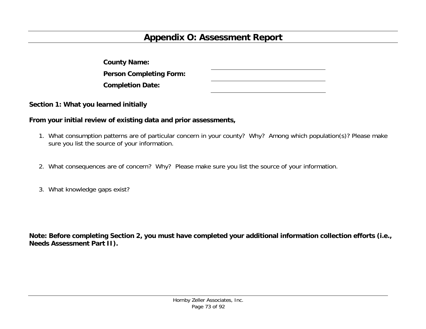# **Appendix O: Assessment Report**

| <b>County Name:</b>            |  |
|--------------------------------|--|
| <b>Person Completing Form:</b> |  |
| <b>Completion Date:</b>        |  |

**Section 1: What you learned initially** 

#### **From your initial review of existing data and prior assessments,**

- 1. What consumption patterns are of particular concern in your county? Why? Among which population(s)? Please make sure you list the source of your information.
- 2. What consequences are of concern? Why? Please make sure you list the source of your information.
- 3. What knowledge gaps exist?

**Note: Before completing Section 2, you must have completed your additional information collection efforts (i.e., Needs Assessment Part II).**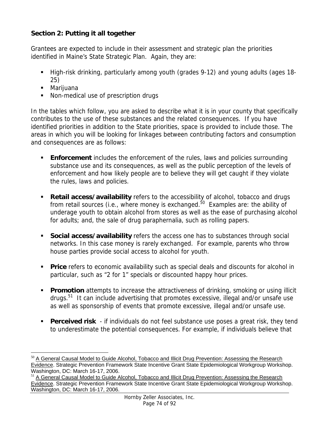#### **Section 2: Putting it all together**

Grantees are expected to include in their assessment and strategic plan the priorities identified in Maine's State Strategic Plan. Again, they are:

- High-risk drinking, particularly among youth (grades 9-12) and young adults (ages 18- 25)
- Marijuana

 $\overline{a}$ 

■ Non-medical use of prescription drugs

In the tables which follow, you are asked to describe what it is in your county that specifically contributes to the use of these substances and the related consequences. If you have identified priorities in addition to the State priorities, space is provided to include those. The areas in which you will be looking for linkages between contributing factors and consumption and consequences are as follows:

- **Enforcement** includes the enforcement of the rules, laws and policies surrounding substance use and its consequences, as well as the public perception of the levels of enforcement and how likely people are to believe they will get caught if they violate the rules, laws and policies.
- **Retail access/availability** refers to the accessibility of alcohol, tobacco and drugs from retail sources (i.e., where money is exchanged. $50$  Examples are: the ability of underage youth to obtain alcohol from stores as well as the ease of purchasing alcohol for adults; and, the sale of drug paraphernalia, such as rolling papers.
- **Social access/availability** refers the access one has to substances through social networks. In this case money is rarely exchanged. For example, parents who throw house parties provide social access to alcohol for youth.
- **Price** refers to economic availability such as special deals and discounts for alcohol in particular, such as "2 for 1" specials or discounted happy hour prices.
- **Promotion** attempts to increase the attractiveness of drinking, smoking or using illicit drugs.51 It can include advertising that promotes excessive, illegal and/or unsafe use as well as sponsorship of events that promote excessive, illegal and/or unsafe use.
- **Perceived risk** if individuals do not feel substance use poses a great risk, they tend to underestimate the potential consequences. For example, if individuals believe that

<sup>&</sup>lt;sup>50</sup> A General Causal Model to Guide Alcohol, Tobacco and Illicit Drug Prevention: Assessing the Research Evidence. Strategic Prevention Framework State Incentive Grant State Epidemiological Workgroup Workshop. Washington, DC: March 16-17, 2006.

<sup>&</sup>lt;sup>51</sup> A General Causal Model to Guide Alcohol, Tobacco and Illicit Drug Prevention: Assessing the Research Evidence. Strategic Prevention Framework State Incentive Grant State Epidemiological Workgroup Workshop. Washington, DC: March 16-17, 2006.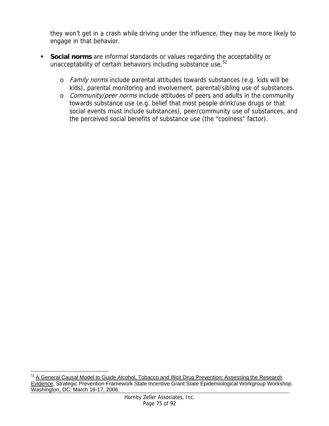they won't get in a crash while driving under the influence, they may be more likely to engage in that behavior.

- **Social norms** are informal standards or values regarding the acceptability or unacceptability of certain behaviors including substance use.<sup>52</sup>
	- o Family norms include parental attitudes towards substances (e.g. kids will be kids), parental monitoring and involvement, parental/sibling use of substances.
	- o Community/peer norms include attitudes of peers and adults in the community towards substance use (e.g. belief that most people drink/use drugs or that social events must include substances), peer/community use of substances, and the perceived social benefits of substance use (the "coolness" factor).

 $\overline{a}$  $52$  A General Causal Model to Guide Alcohol, Tobacco and Illicit Drug Prevention: Assessing the Research Evidence. Strategic Prevention Framework State Incentive Grant State Epidemiological Workgroup Workshop. Washington, DC: March 16-17, 2006.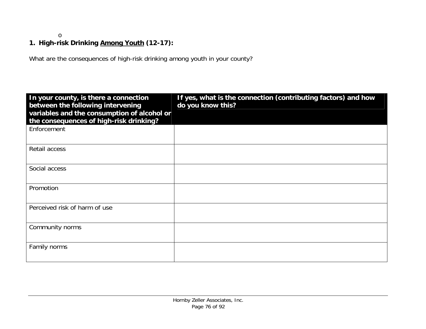o

### **1. High-risk Drinking Among Youth (12-17):**

What are the consequences of high-risk drinking among youth in your county?

| In your county, is there a connection<br>between the following intervening             | If yes, what is the connection (contributing factors) and how<br>do you know this? |
|----------------------------------------------------------------------------------------|------------------------------------------------------------------------------------|
| variables and the consumption of alcohol or<br>the consequences of high-risk drinking? |                                                                                    |
| Enforcement                                                                            |                                                                                    |
| Retail access                                                                          |                                                                                    |
| Social access                                                                          |                                                                                    |
| Promotion                                                                              |                                                                                    |
| Perceived risk of harm of use                                                          |                                                                                    |
| Community norms                                                                        |                                                                                    |
| Family norms                                                                           |                                                                                    |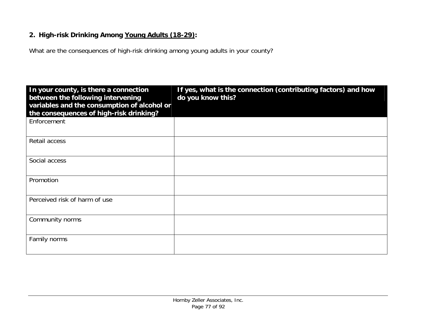#### **2. High-risk Drinking Among Young Adults (18-29):**

What are the consequences of high-risk drinking among young adults in your county?

| In your county, is there a connection<br>between the following intervening<br>variables and the consumption of alcohol or<br>the consequences of high-risk drinking? | If yes, what is the connection (contributing factors) and how<br>do you know this? |
|----------------------------------------------------------------------------------------------------------------------------------------------------------------------|------------------------------------------------------------------------------------|
| Enforcement                                                                                                                                                          |                                                                                    |
| Retail access                                                                                                                                                        |                                                                                    |
| Social access                                                                                                                                                        |                                                                                    |
| Promotion                                                                                                                                                            |                                                                                    |
| Perceived risk of harm of use                                                                                                                                        |                                                                                    |
| Community norms                                                                                                                                                      |                                                                                    |
| Family norms                                                                                                                                                         |                                                                                    |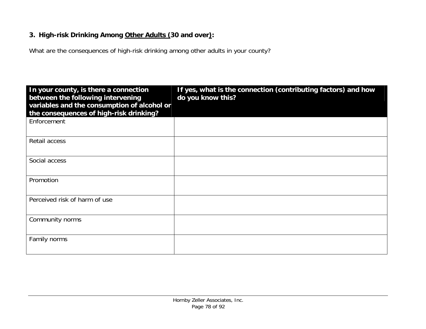#### **3. High-risk Drinking Among Other Adults (30 and over):**

What are the consequences of high-risk drinking among other adults in your county?

| In your county, is there a connection<br>between the following intervening<br>variables and the consumption of alcohol or<br>the consequences of high-risk drinking? | If yes, what is the connection (contributing factors) and how<br>do you know this? |
|----------------------------------------------------------------------------------------------------------------------------------------------------------------------|------------------------------------------------------------------------------------|
| Enforcement                                                                                                                                                          |                                                                                    |
| Retail access                                                                                                                                                        |                                                                                    |
| Social access                                                                                                                                                        |                                                                                    |
| Promotion                                                                                                                                                            |                                                                                    |
| Perceived risk of harm of use                                                                                                                                        |                                                                                    |
| Community norms                                                                                                                                                      |                                                                                    |
| Family norms                                                                                                                                                         |                                                                                    |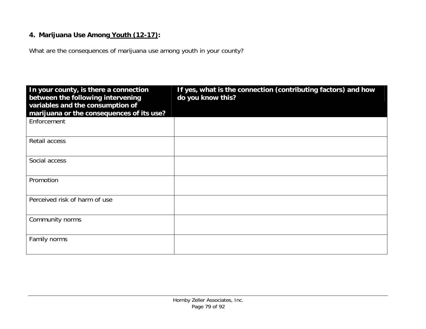#### **4. Marijuana Use Among Youth (12-17):**

What are the consequences of marijuana use among youth in your county?

| In your county, is there a connection<br>between the following intervening<br>variables and the consumption of<br>marijuana or the consequences of its use? | If yes, what is the connection (contributing factors) and how<br>do you know this? |
|-------------------------------------------------------------------------------------------------------------------------------------------------------------|------------------------------------------------------------------------------------|
| Enforcement                                                                                                                                                 |                                                                                    |
| Retail access                                                                                                                                               |                                                                                    |
| Social access                                                                                                                                               |                                                                                    |
| Promotion                                                                                                                                                   |                                                                                    |
| Perceived risk of harm of use                                                                                                                               |                                                                                    |
| Community norms                                                                                                                                             |                                                                                    |
| Family norms                                                                                                                                                |                                                                                    |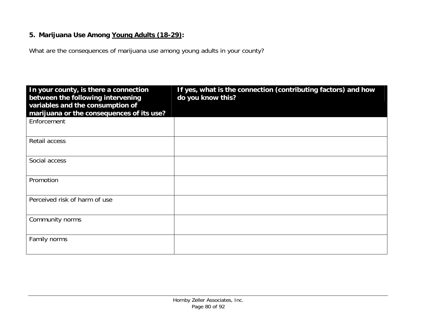#### **5. Marijuana Use Among Young Adults (18-29):**

What are the consequences of marijuana use among young adults in your county?

| In your county, is there a connection<br>between the following intervening<br>variables and the consumption of<br>marijuana or the consequences of its use? | If yes, what is the connection (contributing factors) and how<br>do you know this? |
|-------------------------------------------------------------------------------------------------------------------------------------------------------------|------------------------------------------------------------------------------------|
| Enforcement                                                                                                                                                 |                                                                                    |
| Retail access                                                                                                                                               |                                                                                    |
| Social access                                                                                                                                               |                                                                                    |
| Promotion                                                                                                                                                   |                                                                                    |
| Perceived risk of harm of use                                                                                                                               |                                                                                    |
| Community norms                                                                                                                                             |                                                                                    |
| Family norms                                                                                                                                                |                                                                                    |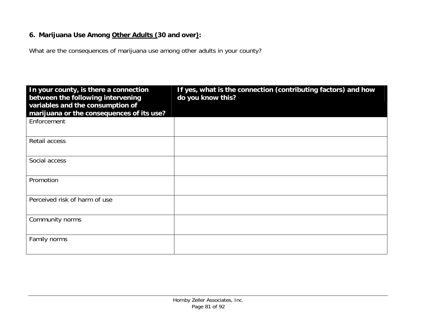#### **6. Marijuana Use Among Other Adults (30 and over):**

What are the consequences of marijuana use among other adults in your county?

| In your county, is there a connection<br>between the following intervening<br>variables and the consumption of<br>marijuana or the consequences of its use? | If yes, what is the connection (contributing factors) and how<br>do you know this? |
|-------------------------------------------------------------------------------------------------------------------------------------------------------------|------------------------------------------------------------------------------------|
| Enforcement                                                                                                                                                 |                                                                                    |
| Retail access                                                                                                                                               |                                                                                    |
| Social access                                                                                                                                               |                                                                                    |
| Promotion                                                                                                                                                   |                                                                                    |
| Perceived risk of harm of use                                                                                                                               |                                                                                    |
| Community norms                                                                                                                                             |                                                                                    |
| Family norms                                                                                                                                                |                                                                                    |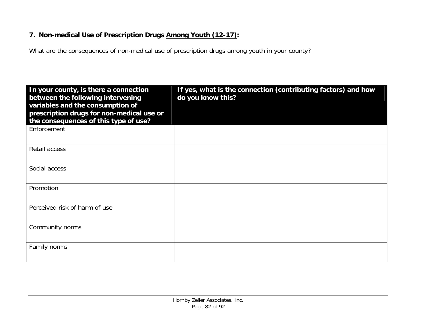#### **7. Non-medical Use of Prescription Drugs Among Youth (12-17):**

What are the consequences of non-medical use of prescription drugs among youth in your county?

| In your county, is there a connection<br>between the following intervening<br>variables and the consumption of<br>prescription drugs for non-medical use or<br>the consequences of this type of use? | If yes, what is the connection (contributing factors) and how<br>do you know this? |
|------------------------------------------------------------------------------------------------------------------------------------------------------------------------------------------------------|------------------------------------------------------------------------------------|
| Enforcement                                                                                                                                                                                          |                                                                                    |
| Retail access                                                                                                                                                                                        |                                                                                    |
| Social access                                                                                                                                                                                        |                                                                                    |
| Promotion                                                                                                                                                                                            |                                                                                    |
| Perceived risk of harm of use                                                                                                                                                                        |                                                                                    |
| Community norms                                                                                                                                                                                      |                                                                                    |
| Family norms                                                                                                                                                                                         |                                                                                    |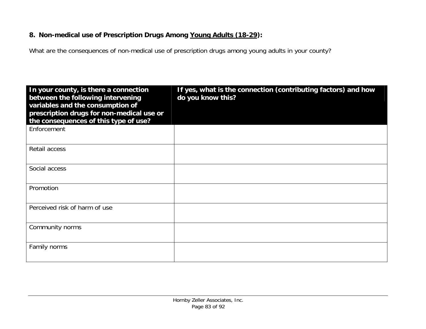#### **8. Non-medical use of Prescription Drugs Among Young Adults (18-29):**

What are the consequences of non-medical use of prescription drugs among young adults in your county?

| In your county, is there a connection<br>between the following intervening<br>variables and the consumption of<br>prescription drugs for non-medical use or<br>the consequences of this type of use? | If yes, what is the connection (contributing factors) and how<br>do you know this? |
|------------------------------------------------------------------------------------------------------------------------------------------------------------------------------------------------------|------------------------------------------------------------------------------------|
| Enforcement                                                                                                                                                                                          |                                                                                    |
| Retail access                                                                                                                                                                                        |                                                                                    |
| Social access                                                                                                                                                                                        |                                                                                    |
| Promotion                                                                                                                                                                                            |                                                                                    |
| Perceived risk of harm of use                                                                                                                                                                        |                                                                                    |
| Community norms                                                                                                                                                                                      |                                                                                    |
| Family norms                                                                                                                                                                                         |                                                                                    |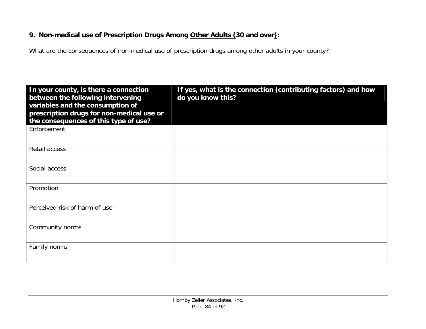#### **9. Non-medical use of Prescription Drugs Among Other Adults (30 and over):**

What are the consequences of non-medical use of prescription drugs among other adults in your county?

| In your county, is there a connection<br>between the following intervening<br>variables and the consumption of<br>prescription drugs for non-medical use or<br>the consequences of this type of use? | If yes, what is the connection (contributing factors) and how<br>do you know this? |
|------------------------------------------------------------------------------------------------------------------------------------------------------------------------------------------------------|------------------------------------------------------------------------------------|
| Enforcement                                                                                                                                                                                          |                                                                                    |
| Retail access                                                                                                                                                                                        |                                                                                    |
| Social access                                                                                                                                                                                        |                                                                                    |
| Promotion                                                                                                                                                                                            |                                                                                    |
| Perceived risk of harm of use                                                                                                                                                                        |                                                                                    |
| Community norms                                                                                                                                                                                      |                                                                                    |
| Family norms                                                                                                                                                                                         |                                                                                    |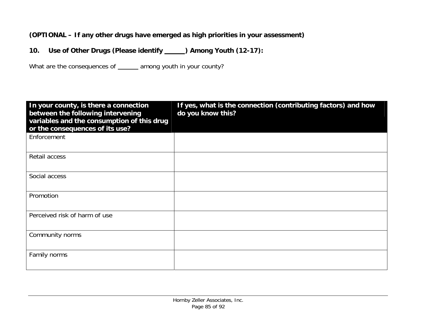#### **(OPTIONAL – If any other drugs have emerged as high priorities in your assessment)**

**10.**Use of Other Drugs (Please identify \_\_\_\_\_) Among Youth (12-17):

What are the consequences of \_\_\_\_\_\_ among youth in your county?

| In your county, is there a connection<br>between the following intervening<br>variables and the consumption of this drug<br>or the consequences of its use? | If yes, what is the connection (contributing factors) and how<br>do you know this? |
|-------------------------------------------------------------------------------------------------------------------------------------------------------------|------------------------------------------------------------------------------------|
| Enforcement                                                                                                                                                 |                                                                                    |
| Retail access                                                                                                                                               |                                                                                    |
| Social access                                                                                                                                               |                                                                                    |
| Promotion                                                                                                                                                   |                                                                                    |
| Perceived risk of harm of use                                                                                                                               |                                                                                    |
| Community norms                                                                                                                                             |                                                                                    |
| Family norms                                                                                                                                                |                                                                                    |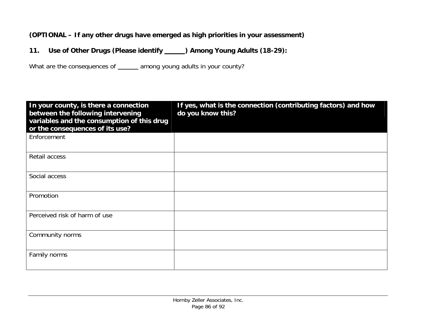#### **(OPTIONAL – If any other drugs have emerged as high priorities in your assessment)**

**11.**Use of Other Drugs (Please identify \_\_\_\_\_) Among Young Adults (18-29):

What are the consequences of \_\_\_\_\_\_ among young adults in your county?

| In your county, is there a connection<br>between the following intervening<br>variables and the consumption of this drug<br>or the consequences of its use? | If yes, what is the connection (contributing factors) and how<br>do you know this? |
|-------------------------------------------------------------------------------------------------------------------------------------------------------------|------------------------------------------------------------------------------------|
| Enforcement                                                                                                                                                 |                                                                                    |
| Retail access                                                                                                                                               |                                                                                    |
| Social access                                                                                                                                               |                                                                                    |
| Promotion                                                                                                                                                   |                                                                                    |
| Perceived risk of harm of use                                                                                                                               |                                                                                    |
| Community norms                                                                                                                                             |                                                                                    |
| Family norms                                                                                                                                                |                                                                                    |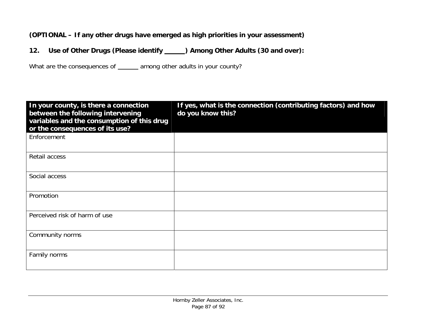#### **(OPTIONAL – If any other drugs have emerged as high priorities in your assessment)**

**12.**Use of Other Drugs (Please identify \_\_\_\_\_) Among Other Adults (30 and over):

What are the consequences of \_\_\_\_\_ among other adults in your county?

| In your county, is there a connection<br>between the following intervening<br>variables and the consumption of this drug<br>or the consequences of its use? | If yes, what is the connection (contributing factors) and how<br>do you know this? |
|-------------------------------------------------------------------------------------------------------------------------------------------------------------|------------------------------------------------------------------------------------|
| Enforcement                                                                                                                                                 |                                                                                    |
| Retail access                                                                                                                                               |                                                                                    |
| Social access                                                                                                                                               |                                                                                    |
| Promotion                                                                                                                                                   |                                                                                    |
| Perceived risk of harm of use                                                                                                                               |                                                                                    |
| Community norms                                                                                                                                             |                                                                                    |
| Family norms                                                                                                                                                |                                                                                    |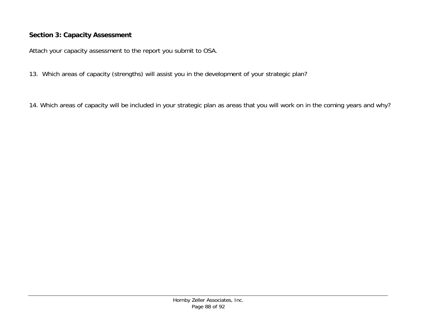#### **Section 3: Capacity Assessment**

Attach your capacity assessment to the report you submit to OSA.

- 13. Which areas of capacity (strengths) will assist you in the development of your strategic plan?
- 14. Which areas of capacity will be included in your strategic plan as areas that you will work on in the coming years and why?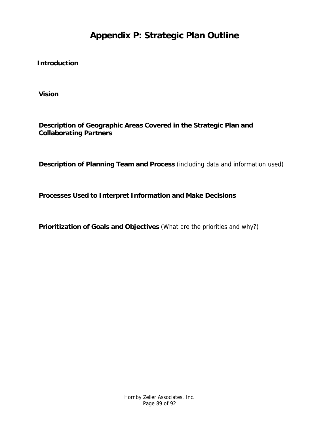**Introduction** 

**Vision** 

**Description of Geographic Areas Covered in the Strategic Plan and Collaborating Partners** 

**Description of Planning Team and Process** (including data and information used)

**Processes Used to Interpret Information and Make Decisions** 

**Prioritization of Goals and Objectives** (What are the priorities and why?)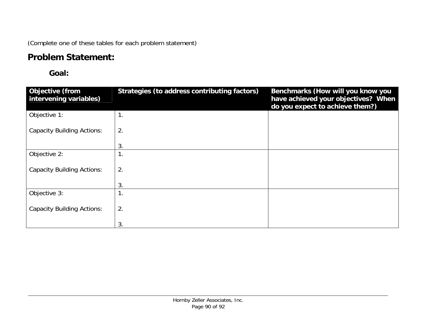(Complete one of these tables for each problem statement)

# **Problem Statement:**

## **Goal:**

| <b>Objective (from</b><br>intervening variables) | Strategies (to address contributing factors) | Benchmarks (How will you know you<br>have achieved your objectives? When<br>do you expect to achieve them?) |
|--------------------------------------------------|----------------------------------------------|-------------------------------------------------------------------------------------------------------------|
| Objective 1:                                     | 1.                                           |                                                                                                             |
| <b>Capacity Building Actions:</b>                | 2.                                           |                                                                                                             |
|                                                  | 3.                                           |                                                                                                             |
| Objective 2:                                     | 1.                                           |                                                                                                             |
| <b>Capacity Building Actions:</b>                | 2.                                           |                                                                                                             |
|                                                  | 3.                                           |                                                                                                             |
| Objective 3:                                     | 1<br>Ι.                                      |                                                                                                             |
| <b>Capacity Building Actions:</b>                | 2.                                           |                                                                                                             |
|                                                  | 3.                                           |                                                                                                             |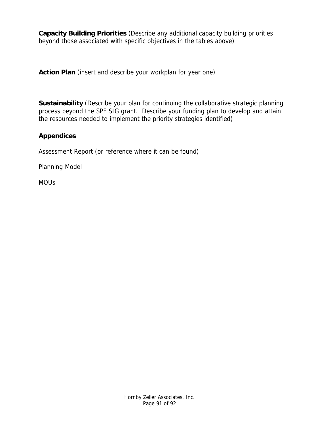**Capacity Building Priorities** (Describe any additional capacity building priorities beyond those associated with specific objectives in the tables above)

**Action Plan** (insert and describe your workplan for year one)

**Sustainability** (Describe your plan for continuing the collaborative strategic planning process beyond the SPF SIG grant. Describe your funding plan to develop and attain the resources needed to implement the priority strategies identified)

#### **Appendices**

Assessment Report (or reference where it can be found)

Planning Model

MOUs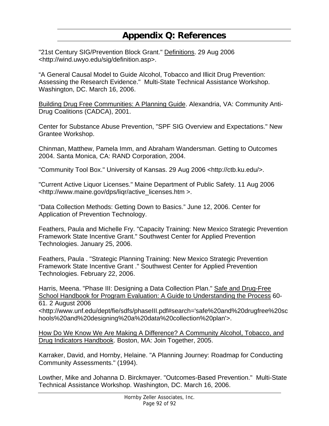# **Appendix Q: References**

"21st Century SIG/Prevention Block Grant." Definitions. 29 Aug 2006 <http://wind.uwyo.edu/sig/definition.asp>.

"A General Causal Model to Guide Alcohol, Tobacco and Illicit Drug Prevention: Assessing the Research Evidence." Multi-State Technical Assistance Workshop. Washington, DC. March 16, 2006.

Building Drug Free Communities: A Planning Guide. Alexandria, VA: Community Anti-Drug Coalitions (CADCA), 2001.

Center for Substance Abuse Prevention, "SPF SIG Overview and Expectations." New Grantee Workshop.

Chinman, Matthew, Pamela Imm, and Abraham Wandersman. Getting to Outcomes 2004. Santa Monica, CA: RAND Corporation, 2004.

"Community Tool Box." University of Kansas. 29 Aug 2006 <http://ctb.ku.edu/>.

"Current Active Liquor Licenses." Maine Department of Public Safety. 11 Aug 2006 <http://www.maine.gov/dps/liqr/active\_licenses.htm >.

"Data Collection Methods: Getting Down to Basics." June 12, 2006. Center for Application of Prevention Technology.

Feathers, Paula and Michelle Fry. "Capacity Training: New Mexico Strategic Prevention Framework State Incentive Grant." Southwest Center for Applied Prevention Technologies. January 25, 2006.

Feathers, Paula . "Strategic Planning Training: New Mexico Strategic Prevention Framework State Incentive Grant ." Southwest Center for Applied Prevention Technologies. February 22, 2006.

Harris, Meena. "Phase III: Designing a Data Collection Plan." Safe and Drug-Free School Handbook for Program Evaluation: A Guide to Understanding the Process 60- 61. 2 August 2006 <http://www.unf.edu/dept/fie/sdfs/phaseIII.pdf#search='safe%20and%20drugfree%20sc hools%20and%20designing%20a%20data%20collection%20plan'>.

How Do We Know We Are Making A Difference? A Community Alcohol, Tobacco, and Drug Indicators Handbook. Boston, MA: Join Together, 2005.

Karraker, David, and Hornby, Helaine. "A Planning Journey: Roadmap for Conducting Community Assessments." (1994).

Lowther, Mike and Johanna D. Birckmayer. "Outcomes-Based Prevention." Multi-State Technical Assistance Workshop. Washington, DC. March 16, 2006.